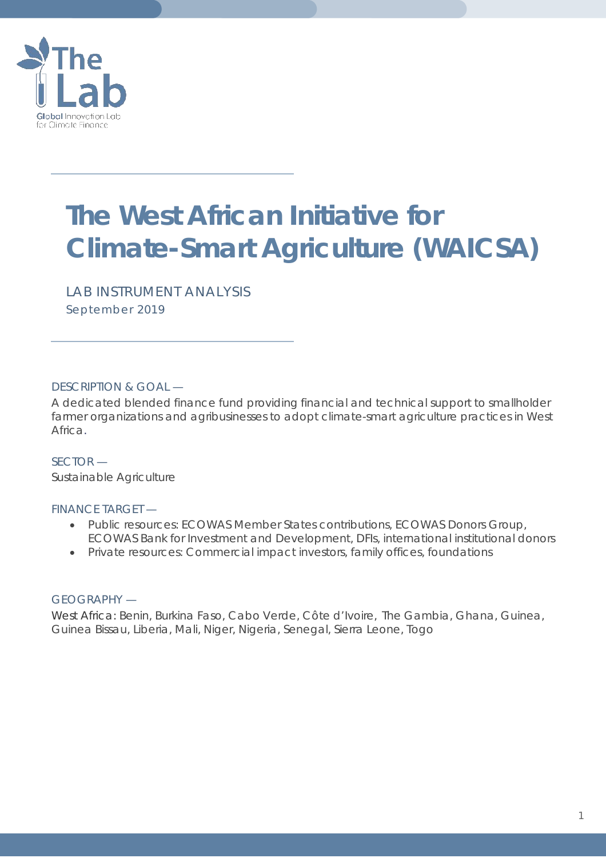

# **The West African Initiative for Climate-Smart Agriculture (WAICSA)**

*LAB INSTRUMENT ANALYSIS September 2019*

# DESCRIPTION & GOAL —

A dedicated blended finance fund providing financial and technical support to smallholder farmer organizations and agribusinesses to adopt climate-smart agriculture practices in West Africa*.*

SECTOR — Sustainable Agriculture

### FINANCE TARGET —

- Public resources: ECOWAS Member States contributions, ECOWAS Donors Group, ECOWAS Bank for Investment and Development, DFIs, international institutional donors
- Private resources: Commercial impact investors, family offices, foundations

### GEOGRAPHY —

West Africa: Benin, Burkina Faso, Cabo Verde, Côte d'Ivoire, The Gambia, Ghana, Guinea, Guinea Bissau, Liberia, Mali, Niger, Nigeria, Senegal, Sierra Leone, Togo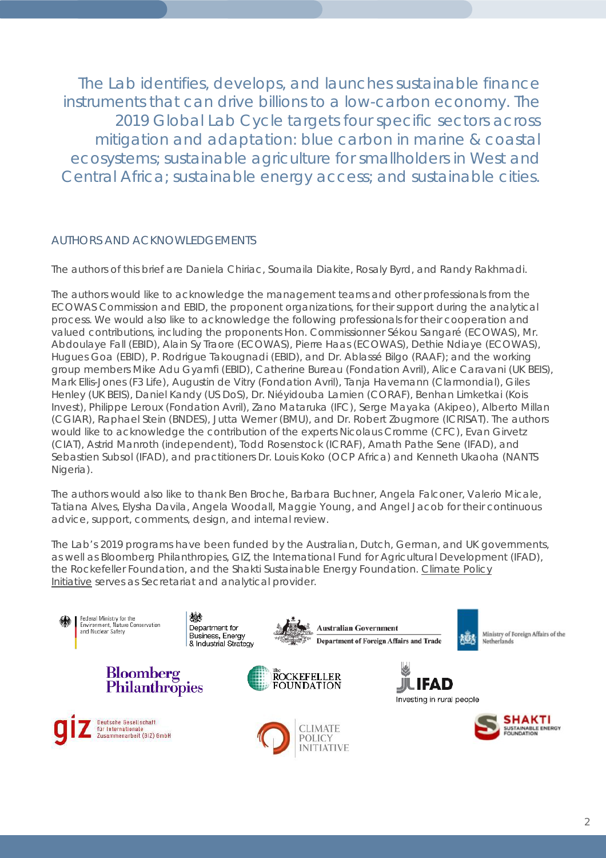The Lab identifies, develops, and launches sustainable finance instruments that can drive billions to a low-carbon economy. The 2019 Global Lab Cycle targets four specific sectors across mitigation and adaptation: blue carbon in marine & coastal ecosystems; sustainable agriculture for smallholders in West and Central Africa; sustainable energy access; and sustainable cities.

### AUTHORS AND ACKNOWLEDGEMENTS

The authors of this brief are Daniela Chiriac, Soumaila Diakite, Rosaly Byrd, and Randy Rakhmadi.

The authors would like to acknowledge the management teams and other professionals from the ECOWAS Commission and EBID, the proponent organizations, for their support during the analytical process. We would also like to acknowledge the following professionals for their cooperation and valued contributions, including the proponents Hon. Commissionner Sékou Sangaré (ECOWAS), Mr. Abdoulaye Fall (EBID), Alain Sy Traore (ECOWAS), Pierre Haas (ECOWAS), Dethie Ndiaye (ECOWAS), Hugues Goa (EBID), P. Rodrigue Takougnadi (EBID), and Dr. Ablassé Bilgo (RAAF); and the working group members Mike Adu Gyamfi (EBID), Catherine Bureau (Fondation Avril), Alice Caravani (UK BEIS), Mark Ellis-Jones (F3 Life), Augustin de Vitry (Fondation Avril), Tanja Havemann (Clarmondial), Giles Henley (UK BEIS), Daniel Kandy (US DoS), Dr. Niéyidouba Lamien (CORAF), Benhan Limketkai (Kois Invest), Philippe Leroux (Fondation Avril), Zano Mataruka (IFC), Serge Mayaka (Akipeo), Alberto Millan (CGIAR), Raphael Stein (BNDES), Jutta Werner (BMU), and Dr. Robert Zougmore (ICRISAT). The authors would like to acknowledge the contribution of the experts Nicolaus Cromme (CFC), Evan Girvetz (CIAT), Astrid Manroth (independent), Todd Rosenstock (ICRAF), Amath Pathe Sene (IFAD), and Sebastien Subsol (IFAD), and practitioners Dr. Louis Koko (OCP Africa) and Kenneth Ukaoha (NANTS Nigeria).

The authors would also like to thank Ben Broche, Barbara Buchner, Angela Falconer, Valerio Micale, Tatiana Alves, Elysha Davila, Angela Woodall, Maggie Young, and Angel Jacob for their continuous advice, support, comments, design, and internal review.

The Lab's 2019 programs have been funded by the Australian, Dutch, German, and UK governments, as well as Bloomberg Philanthropies, GIZ, the International Fund for Agricultural Development (IFAD), the Rockefeller Foundation, and the Shakti Sustainable Energy Foundation. Climate Policy [Initiative](https://climatepolicyinitiative.org/) serves as Secretariat and analytical provider.

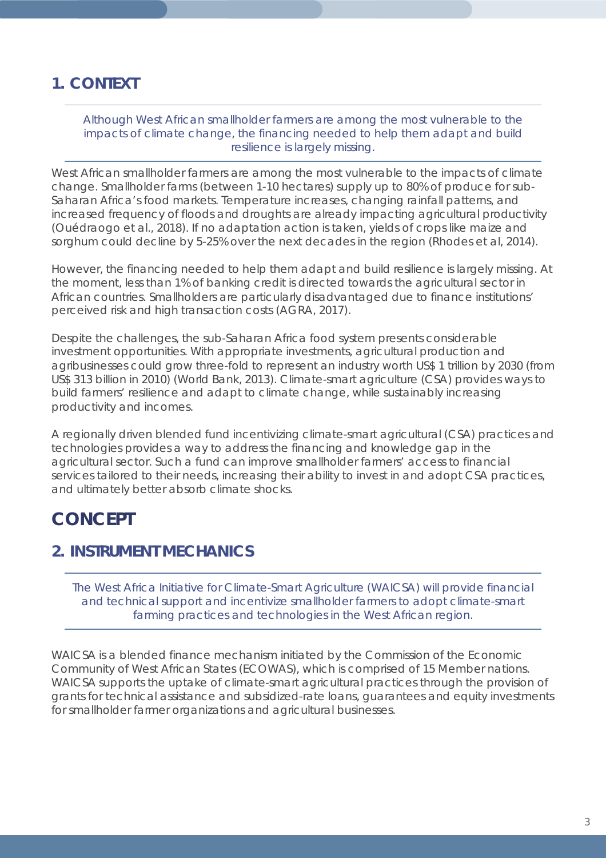# **1. CONTEXT**

*Although West African smallholder farmers are among the most vulnerable to the impacts of climate change, the financing needed to help them adapt and build resilience is largely missing.*

West African smallholder farmers are among the most vulnerable to the impacts of climate change. Smallholder farms (between 1-10 hectares) supply up to 80% of produce for sub-Saharan Africa's food markets. Temperature increases, changing rainfall patterns, and increased frequency of floods and droughts are already impacting agricultural productivity (Ouédraogo et al., 2018). If no adaptation action is taken, yields of crops like maize and sorghum could decline by 5-25% over the next decades in the region (Rhodes et al, 2014).

However, the financing needed to help them adapt and build resilience is largely missing. At the moment, less than 1% of banking credit is directed towards the agricultural sector in African countries. Smallholders are particularly disadvantaged due to finance institutions' perceived risk and high transaction costs (AGRA, 2017).

Despite the challenges, the sub-Saharan Africa food system presents considerable investment opportunities. With appropriate investments, agricultural production and agribusinesses could grow three-fold to represent an industry worth US\$ 1 trillion by 2030 (from US\$ 313 billion in 2010) (World Bank, 2013). Climate-smart agriculture (CSA) provides ways to build farmers' resilience and adapt to climate change, while sustainably increasing productivity and incomes.

A regionally driven blended fund incentivizing climate-smart agricultural (CSA) practices and technologies provides a way to address the financing and knowledge gap in the agricultural sector. Such a fund can improve smallholder farmers' access to financial services tailored to their needs, increasing their ability to invest in and adopt CSA practices, and ultimately better absorb climate shocks.

# *CONCEPT*

# **2. INSTRUMENT MECHANICS**

*The West Africa Initiative for Climate-Smart Agriculture (WAICSA) will provide financial and technical support and incentivize smallholder farmers to adopt climate-smart farming practices and technologies in the West African region.*

WAICSA is a blended finance mechanism initiated by the Commission of the Economic Community of West African States (ECOWAS), which is comprised of 15 Member nations. WAICSA supports the uptake of climate-smart agricultural practices through the provision of grants for technical assistance and subsidized-rate loans, guarantees and equity investments for smallholder farmer organizations and agricultural businesses.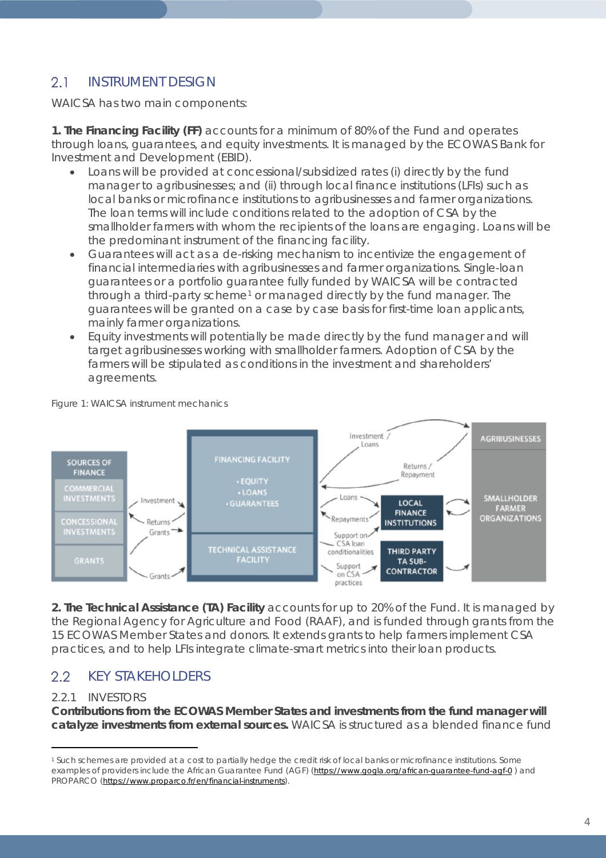#### $2.1$ INSTRUMENT DESIGN

WAICSA has two main components:

**1. The Financing Facility (FF)** accounts for a minimum of 80% of the Fund and operates through loans, guarantees, and equity investments. It is managed by the ECOWAS Bank for Investment and Development (EBID).

- Loans will be provided at concessional/subsidized rates (i) directly by the fund manager to agribusinesses; and (ii) through local finance institutions (LFIs) such as local banks or microfinance institutions to agribusinesses and farmer organizations. The loan terms will include conditions related to the adoption of CSA by the smallholder farmers with whom the recipients of the loans are engaging. Loans will be the predominant instrument of the financing facility.
- Guarantees will act as a de-risking mechanism to incentivize the engagement of financial intermediaries with agribusinesses and farmer organizations. Single-loan guarantees or a portfolio guarantee fully funded by WAICSA will be contracted through a third-party scheme<sup>[1](#page-3-0)</sup> or managed directly by the fund manager. The guarantees will be granted on a case by case basis for first-time loan applicants, mainly farmer organizations.
- Equity investments will potentially be made directly by the fund manager and will target agribusinesses working with smallholder farmers. Adoption of CSA by the farmers will be stipulated as conditions in the investment and shareholders' agreements.



### *Figure 1: WAICSA instrument mechanics*

**2. The Technical Assistance (TA) Facility** accounts for up to 20% of the Fund. It is managed by the Regional Agency for Agriculture and Food (RAAF), and is funded through grants from the 15 ECOWAS Member States and donors. It extends grants to help farmers implement CSA practices, and to help LFIs integrate climate-smart metrics into their loan products.

#### $2.2$ KEY STAKEHOLDERS

# 2.2.1 INVESTORS

 $\overline{a}$ 

**Contributions from the ECOWAS Member States and investments from the fund manager will catalyze investments from external sources.** WAICSA is structured as a blended finance fund

<span id="page-3-0"></span><sup>1</sup> Such schemes are provided at a cost to partially hedge the credit risk of local banks or microfinance institutions. Some examples of providers include the African Guarantee Fund (AGF) [\(https://www.gogla.org/african-guarantee-fund-agf-0](https://www.gogla.org/african-guarantee-fund-agf-0)) and PROPARCO [\(https://www.proparco.fr/en/financial-instruments\)](https://www.proparco.fr/en/financial-instruments).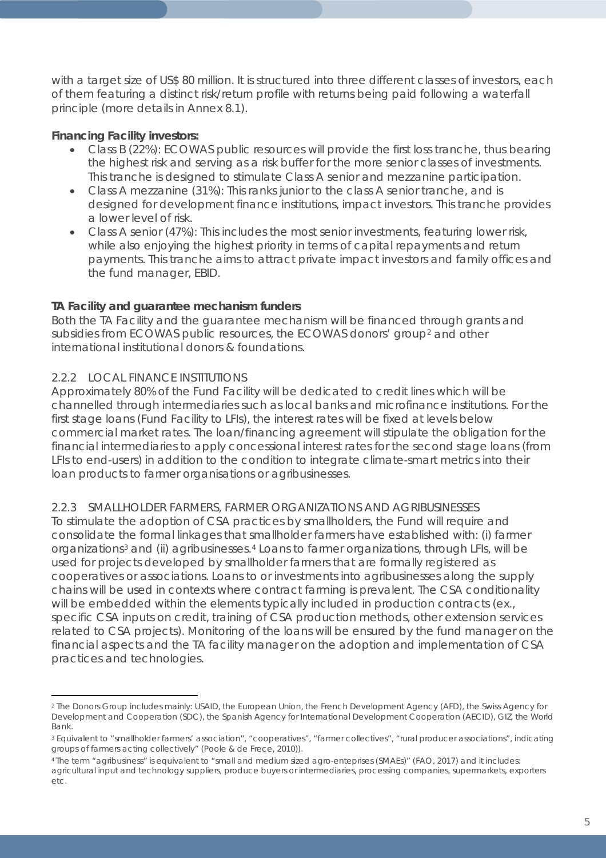with a target size of US\$ 80 million. It is structured into three different classes of investors, each of them featuring a distinct risk/return profile with returns being paid following a waterfall principle (more details in Annex 8.1).

# **Financing Facility investors:**

- Class B (22%): ECOWAS public resources will provide the first loss tranche, thus bearing the highest risk and serving as a risk buffer for the more senior classes of investments. This tranche is designed to stimulate Class A senior and mezzanine participation.
- Class A mezzanine (31%): This ranks junior to the class A senior tranche, and is designed for development finance institutions, impact investors. This tranche provides a lower level of risk.
- Class A senior (47%): This includes the most senior investments, featuring lower risk, while also enjoying the highest priority in terms of capital repayments and return payments. This tranche aims to attract private impact investors and family offices and the fund manager, EBID.

# **TA Facility and guarantee mechanism funders**

Both the TA Facility and the guarantee mechanism will be financed through grants and subsidies from ECOWAS public resources, the ECOWAS donors' group<sup>[2](#page-4-0)</sup> and other international institutional donors & foundations.

# 2.2.2 LOCAL FINANCE INSTITUTIONS

 $\overline{a}$ 

Approximately 80% of the Fund Facility will be dedicated to credit lines which will be channelled through intermediaries such as local banks and microfinance institutions. For the first stage loans (Fund Facility to LFIs), the interest rates will be fixed at levels below commercial market rates. The loan/financing agreement will stipulate the obligation for the financial intermediaries to apply concessional interest rates for the second stage loans (from LFIs to end-users) in addition to the condition to integrate climate-smart metrics into their loan products to farmer organisations or agribusinesses.

# 2.2.3 SMALLHOLDER FARMERS, FARMER ORGANIZATIONS AND AGRIBUSINESSES

To stimulate the adoption of CSA practices by smallholders, the Fund will require and consolidate the formal linkages that smallholder farmers have established with: (i) farmer organizations<sup>[3](#page-4-1)</sup> and (ii) agribusinesses.<sup>[4](#page-4-2)</sup> Loans to farmer organizations, through LFIs, will be used for projects developed by smallholder farmers that are formally registered as cooperatives or associations. Loans to or investments into agribusinesses along the supply chains will be used in contexts where contract farming is prevalent. The CSA conditionality will be embedded within the elements typically included in production contracts (ex., specific CSA inputs on credit, training of CSA production methods, other extension services related to CSA projects). Monitoring of the loans will be ensured by the fund manager on the financial aspects and the TA facility manager on the adoption and implementation of CSA practices and technologies.

<span id="page-4-0"></span><sup>2</sup> The Donors Group includes mainly: USAID, the European Union, the French Development Agency (AFD), the Swiss Agency for Development and Cooperation (SDC), the Spanish Agency for International Development Cooperation (AECID), GIZ, the World Bank.

<span id="page-4-1"></span><sup>3</sup> Equivalent to "smallholder farmers' association", "cooperatives", "farmer collectives", "rural producer associations", indicating groups of farmers acting collectively" (Poole & de Frece, 2010)).

<span id="page-4-2"></span><sup>4</sup> The term "agribusiness" is equivalent to "small and medium sized agro-enteprises (SMAEs)" (FAO, 2017) and it includes: agricultural input and technology suppliers, produce buyers or intermediaries, processing companies, supermarkets, exporters etc.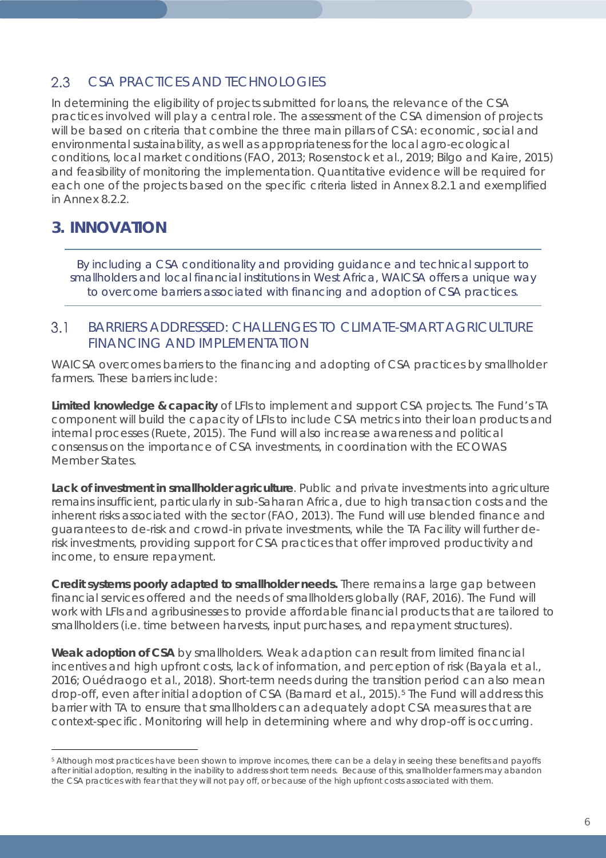#### $2.3$ CSA PRACTICES AND TECHNOLOGIES

In determining the eligibility of projects submitted for loans, the relevance of the CSA practices involved will play a central role. The assessment of the CSA dimension of projects will be based on criteria that combine the three main pillars of CSA: economic, social and environmental sustainability, as well as appropriateness for the local agro-ecological conditions, local market conditions (FAO, 2013; Rosenstock et al., 2019; Bilgo and Kaire, 2015) and feasibility of monitoring the implementation. Quantitative evidence will be required for each one of the projects based on the specific criteria listed in Annex 8.2.1 and exemplified in Annex 8.2.2.

# **3. INNOVATION**

 $\overline{a}$ 

*By including a CSA conditionality and providing guidance and technical support to smallholders and local financial institutions in West Africa, WAICSA offers a unique way to overcome barriers associated with financing and adoption of CSA practices.* 

#### BARRIERS ADDRESSED: CHALLENGES TO CLIMATE-SMART AGRICULTURF  $3.1$ FINANCING AND IMPLEMENTATION

WAICSA overcomes barriers to the financing and adopting of CSA practices by smallholder farmers. These barriers include:

**Limited knowledge & capacity** of LFIs to implement and support CSA projects. The Fund's TA component will build the capacity of LFIs to include CSA metrics into their loan products and internal processes (Ruete, 2015). The Fund will also increase awareness and political consensus on the importance of CSA investments, in coordination with the ECOWAS Member States.

**Lack of investment in smallholder agriculture**. Public and private investments into agriculture remains insufficient, particularly in sub-Saharan Africa, due to high transaction costs and the inherent risks associated with the sector (FAO, 2013). The Fund will use blended finance and guarantees to de-risk and crowd-in private investments, while the TA Facility will further derisk investments, providing support for CSA practices that offer improved productivity and income, to ensure repayment.

**Credit systems poorly adapted to smallholder needs.** There remains a large gap between financial services offered and the needs of smallholders globally (RAF, 2016). The Fund will work with LFIs and agribusinesses to provide affordable financial products that are tailored to smallholders (i.e. time between harvests, input purchases, and repayment structures).

**Weak adoption of CSA** by smallholders. Weak adaption can result from limited financial incentives and high upfront costs, lack of information, and perception of risk (Bayala et al., 2016; Ouédraogo et al., 2018). Short-term needs during the transition period can also mean drop-off, even after initial adoption of CSA (Barnard et al., 201[5](#page-5-0)).<sup>5</sup> The Fund will address this barrier with TA to ensure that smallholders can adequately adopt CSA measures that are context-specific. Monitoring will help in determining where and why drop-off is occurring.

<span id="page-5-0"></span><sup>5</sup> Although most practices have been shown to improve incomes, there can be a delay in seeing these benefits and payoffs after initial adoption, resulting in the inability to address short term needs. Because of this, smallholder farmers may abandon the CSA practices with fear that they will not pay off, or because of the high upfront costs associated with them.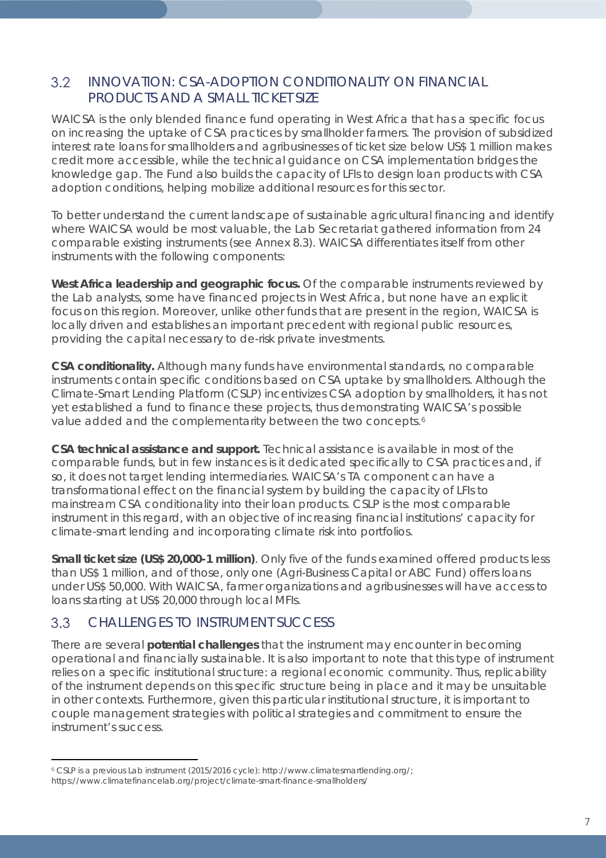#### $3.2$ INNOVATION: CSA-ADOPTION CONDITIONALITY ON FINANCIAL PRODUCTS AND A SMALL TICKET SIZE

WAICSA is the only blended finance fund operating in West Africa that has a specific focus on increasing the uptake of CSA practices by smallholder farmers. The provision of subsidized interest rate loans for smallholders and agribusinesses of ticket size below US\$ 1 million makes credit more accessible, while the technical guidance on CSA implementation bridges the knowledge gap. The Fund also builds the capacity of LFIs to design loan products with CSA adoption conditions, helping mobilize additional resources for this sector.

To better understand the current landscape of sustainable agricultural financing and identify where WAICSA would be most valuable, the Lab Secretariat gathered information from 24 comparable existing instruments (see Annex 8.3). WAICSA differentiates itself from other instruments with the following components:

**West Africa leadership and geographic focus.** Of the comparable instruments reviewed by the Lab analysts, some have financed projects in West Africa, but none have an explicit focus on this region. Moreover, unlike other funds that are present in the region, WAICSA is locally driven and establishes an important precedent with regional public resources, providing the capital necessary to de-risk private investments.

**CSA conditionality.** Although many funds have environmental standards, no comparable instruments contain specific conditions based on CSA uptake by smallholders. Although the Climate-Smart Lending Platform (CSLP) incentivizes CSA adoption by smallholders, it has not yet established a fund to finance these projects, thus demonstrating WAICSA's possible value added and the complementarity between the two concepts.<sup>[6](#page-6-0)</sup>

**CSA technical assistance and support.** Technical assistance is available in most of the comparable funds, but in few instances is it dedicated specifically to CSA practices and, if so, it does not target lending intermediaries. WAICSA's TA component can have a transformational effect on the financial system by building the capacity of LFIs to mainstream CSA conditionality into their loan products. CSLP is the most comparable instrument in this regard, with an objective of increasing financial institutions' capacity for climate-smart lending and incorporating climate risk into portfolios.

**Small ticket size (US\$ 20,000-1 million)**. Only five of the funds examined offered products less than US\$ 1 million, and of those, only one [\(Agri-Business Capital](https://www.ifad.org/en/abcfund) or ABC Fund) offers loans under US\$ 50,000. With WAICSA, farmer organizations and agribusinesses will have access to loans starting at US\$ 20,000 through local MFIs.

#### $3.3$ CHALLENGES TO INSTRUMENT SUCCESS

 $\overline{a}$ 

There are several **potential challenges** that the instrument may encounter in becoming operational and financially sustainable. It is also important to note that this type of instrument relies on a specific institutional structure: a regional economic community. Thus, replicability of the instrument depends on this specific structure being in place and it may be unsuitable in other contexts. Furthermore, given this particular institutional structure, it is important to couple management strategies with political strategies and commitment to ensure the instrument's success.

<span id="page-6-0"></span><sup>6</sup> CSLP is a previous Lab instrument (2015/2016 cycle)[: http://www.climatesmartlending.org/;](http://www.climatesmartlending.org/) https://www.climatefinancelab.org/project/climate-smart-finance-smallholders/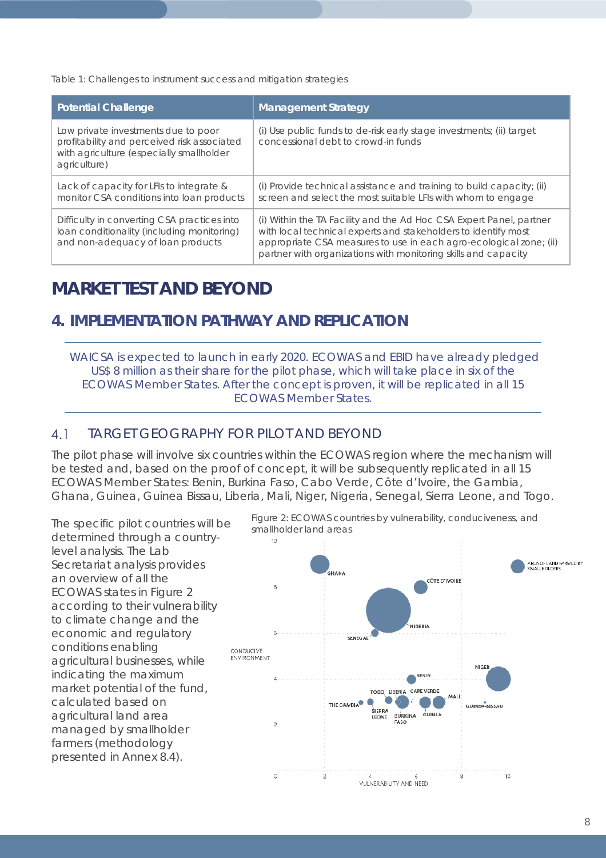*Table 1: Challenges to instrument success and mitigation strategies*

| <b>Potential Challenge</b>                                                                                                                     | <b>Management Strategy</b>                                                                                                                                                                                                                                                    |
|------------------------------------------------------------------------------------------------------------------------------------------------|-------------------------------------------------------------------------------------------------------------------------------------------------------------------------------------------------------------------------------------------------------------------------------|
| Low private investments due to poor<br>profitability and perceived risk associated<br>with agriculture (especially smallholder<br>agriculture) | (i) Use public funds to de-risk early stage investments; (ii) target<br>concessional debt to crowd-in funds                                                                                                                                                                   |
| Lack of capacity for LFIs to integrate &<br>monitor CSA conditions into loan products                                                          | (i) Provide technical assistance and training to build capacity; (ii)<br>screen and select the most suitable LFIs with whom to engage                                                                                                                                         |
| Difficulty in converting CSA practices into<br>loan conditionality (including monitoring)<br>and non-adequacy of loan products                 | (i) Within the TA Facility and the Ad Hoc CSA Expert Panel, partner<br>with local technical experts and stakeholders to identify most<br>appropriate CSA measures to use in each agro-ecological zone; (ii)<br>partner with organizations with monitoring skills and capacity |

# *MARKET TEST AND BEYOND*

# **4. IMPLEMENTATION PATHWAY AND REPLICATION**

*WAICSA is expected to launch in early 2020. ECOWAS and EBID have already pledged US\$ 8 million as their share for the pilot phase, which will take place in six of the ECOWAS Member States. After the concept is proven, it will be replicated in all 15 ECOWAS Member States.*

#### $4.1$ TARGET GEOGRAPHY FOR PILOT AND BEYOND

The pilot phase will involve six countries within the ECOWAS region where the mechanism will be tested and, based on the proof of concept, it will be subsequently replicated in all 15 ECOWAS Member States: Benin, Burkina Faso, Cabo Verde, Côte d'Ivoire, the Gambia, Ghana, Guinea, Guinea Bissau, Liberia, Mali, Niger, Nigeria, Senegal, Sierra Leone, and Togo.

The specific pilot countries will be determined through a countrylevel analysis. The Lab Secretariat analysis provides an overview of all the ECOWAS states in Figure 2 according to their vulnerability to climate change and the economic and regulatory conditions enabling agricultural businesses, while indicating the maximum market potential of the fund, calculated based on agricultural land area managed by smallholder farmers (methodology presented in Annex 8.4).



*Figure 2: ECOWAS countries by vulnerability, conduciveness, and smallholder land areas*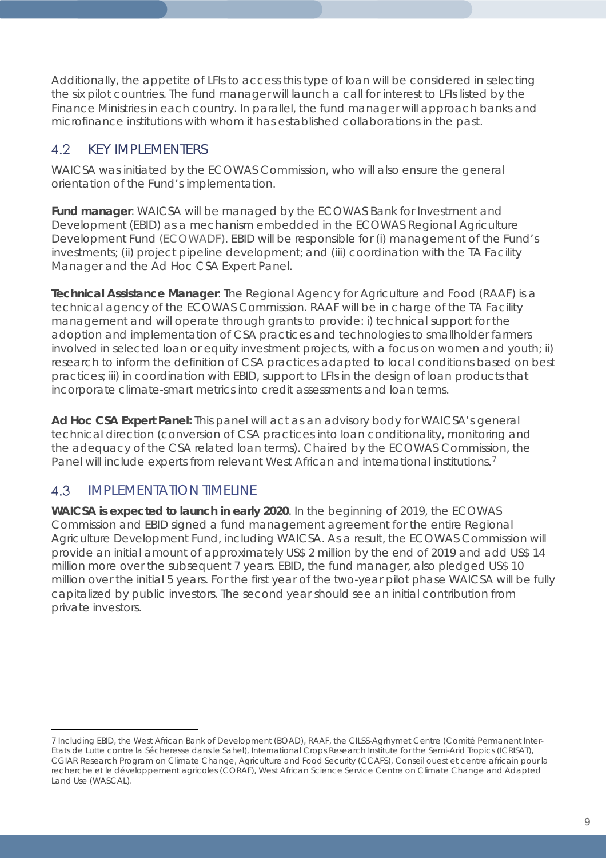Additionally, the appetite of LFIs to access this type of loan will be considered in selecting the six pilot countries. The fund manager will launch a call for interest to LFIs listed by the Finance Ministries in each country. In parallel, the fund manager will approach banks and microfinance institutions with whom it has established collaborations in the past.

#### $4.2$ KEY IMPLEMENTERS

WAICSA was initiated by the ECOWAS Commission, who will also ensure the general orientation of the Fund's implementation.

**Fund manager**: WAICSA will be managed by the ECOWAS Bank for Investment and Development (EBID) as a mechanism embedded in the ECOWAS Regional Agriculture Development Fund (ECOWADF). EBID will be responsible for (i) management of the Fund's investments; (ii) project pipeline development; and (iii) coordination with the TA Facility Manager and the Ad Hoc CSA Expert Panel.

**Technical Assistance Manager**: The Regional Agency for Agriculture and Food (RAAF) is a technical agency of the ECOWAS Commission. RAAF will be in charge of the TA Facility management and will operate through grants to provide: i) technical support for the adoption and implementation of CSA practices and technologies to smallholder farmers involved in selected loan or equity investment projects, with a focus on women and youth; ii) research to inform the definition of CSA practices adapted to local conditions based on best practices; iii) in coordination with EBID, support to LFIs in the design of loan products that incorporate climate-smart metrics into credit assessments and loan terms.

**Ad Hoc CSA Expert Panel:** This panel will act as an advisory body for WAICSA's general technical direction (conversion of CSA practices into loan conditionality, monitoring and the adequacy of the CSA related loan terms). Chaired by the ECOWAS Commission, the Panel will include experts from relevant West African and international institutions.<sup>[7](#page-8-0)</sup>

#### 4.3 IMPLEMENTATION TIMELINE

**WAICSA is expected to launch in early 2020**. In the beginning of 2019, the ECOWAS Commission and EBID signed a fund management agreement for the entire Regional Agriculture Development Fund, including WAICSA. As a result, the ECOWAS Commission will provide an initial amount of approximately US\$ 2 million by the end of 2019 and add US\$ 14 million more over the subsequent 7 years. EBID, the fund manager, also pledged US\$ 10 million over the initial 5 years. For the first year of the two-year pilot phase WAICSA will be fully capitalized by public investors. The second year should see an initial contribution from private investors.

<span id="page-8-0"></span> $\overline{a}$ 7 Including EBID, the West African Bank of Development (BOAD), RAAF, the CILSS-Agrhymet Centre (Comité Permanent Inter-Etats de Lutte contre la Sécheresse dans le Sahel), International Crops Research Institute for the Semi-Arid Tropics (ICRISAT), CGIAR Research Program on Climate Change, Agriculture and Food Security (CCAFS), Conseil ouest et centre africain pour la recherche et le développement agricoles (CORAF), West African Science Service Centre on Climate Change and Adapted Land Use (WASCAL).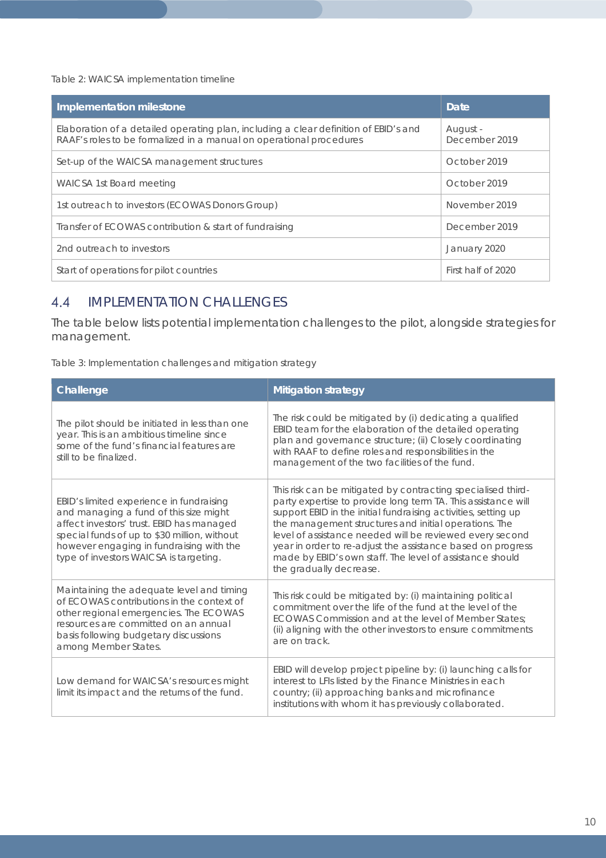*Table 2: WAICSA implementation timeline*

| Implementation milestone                                                                                                                                    | Date                      |
|-------------------------------------------------------------------------------------------------------------------------------------------------------------|---------------------------|
| Elaboration of a detailed operating plan, including a clear definition of EBID's and<br>RAAF's roles to be formalized in a manual on operational procedures | August -<br>December 2019 |
| Set-up of the WAICSA management structures                                                                                                                  | October 2019              |
| WAICSA 1st Board meeting                                                                                                                                    | October 2019              |
| 1st outreach to investors (ECOWAS Donors Group)                                                                                                             | November 2019             |
| Transfer of ECOWAS contribution & start of fundraising                                                                                                      | December 2019             |
| 2nd outreach to investors                                                                                                                                   | January 2020              |
| Start of operations for pilot countries                                                                                                                     | First half of 2020        |

#### $4.4$ IMPLEMENTATION CHALLENGES

The table below lists potential implementation challenges to the pilot, alongside strategies for management.

*Table 3: Implementation challenges and mitigation strategy*

| Challenge                                                                                                                                                                                                                                                             | <b>Mitigation strategy</b>                                                                                                                                                                                                                                                                                                                                                                                                                                                 |
|-----------------------------------------------------------------------------------------------------------------------------------------------------------------------------------------------------------------------------------------------------------------------|----------------------------------------------------------------------------------------------------------------------------------------------------------------------------------------------------------------------------------------------------------------------------------------------------------------------------------------------------------------------------------------------------------------------------------------------------------------------------|
| The pilot should be initiated in less than one<br>year. This is an ambitious timeline since<br>some of the fund's financial features are<br>still to be finalized.                                                                                                    | The risk could be mitigated by (i) dedicating a qualified<br>EBID team for the elaboration of the detailed operating<br>plan and governance structure; (ii) Closely coordinating<br>with RAAF to define roles and responsibilities in the<br>management of the two facilities of the fund.                                                                                                                                                                                 |
| EBID's limited experience in fundraising<br>and managing a fund of this size might<br>affect investors' trust. EBID has managed<br>special funds of up to \$30 million, without<br>however engaging in fundraising with the<br>type of investors WAICSA is targeting. | This risk can be mitigated by contracting specialised third-<br>party expertise to provide long term TA. This assistance will<br>support EBID in the initial fundraising activities, setting up<br>the management structures and initial operations. The<br>level of assistance needed will be reviewed every second<br>year in order to re-adjust the assistance based on progress<br>made by EBID's own staff. The level of assistance should<br>the gradually decrease. |
| Maintaining the adequate level and timing<br>of ECOWAS contributions in the context of<br>other regional emergencies. The ECOWAS<br>resources are committed on an annual<br>basis following budgetary discussions<br>among Member States.                             | This risk could be mitigated by: (i) maintaining political<br>commitment over the life of the fund at the level of the<br>ECOWAS Commission and at the level of Member States:<br>(ii) aligning with the other investors to ensure commitments<br>are on track.                                                                                                                                                                                                            |
| Low demand for WAICSA's resources might<br>limit its impact and the returns of the fund.                                                                                                                                                                              | EBID will develop project pipeline by: (i) launching calls for<br>interest to LFIs listed by the Finance Ministries in each<br>country; (ii) approaching banks and microfinance<br>institutions with whom it has previously collaborated.                                                                                                                                                                                                                                  |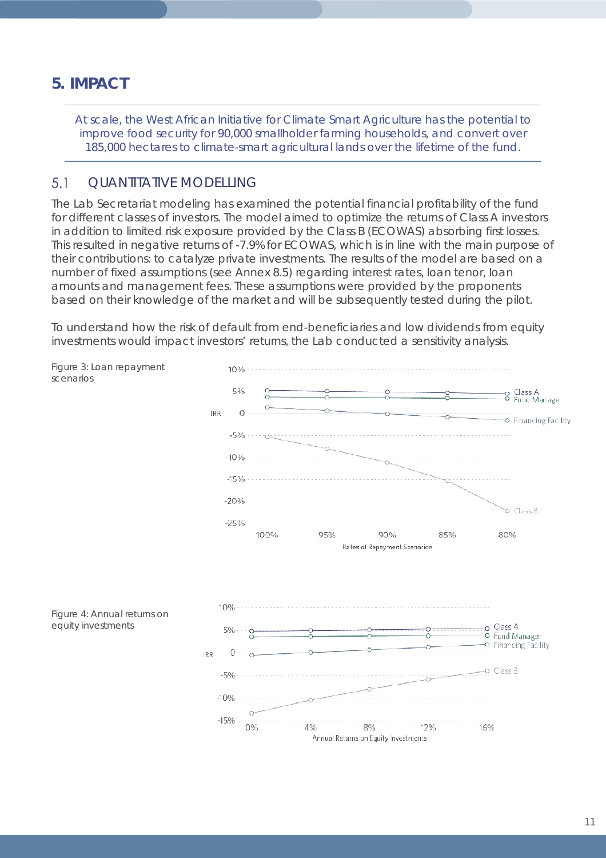# **5. IMPACT**

*At scale, the West African Initiative for Climate Smart Agriculture has the potential to improve food security for 90,000 smallholder farming households, and convert over 185,000 hectares to climate-smart agricultural lands over the lifetime of the fund.*

#### $5.1$ QUANTITATIVE MODELLING

The Lab Secretariat modeling has examined the potential financial profitability of the fund for different classes of investors. The model aimed to optimize the returns of Class A investors in addition to limited risk exposure provided by the Class B (ECOWAS) absorbing first losses. This resulted in negative returns of -7.9% for ECOWAS, which is in line with the main purpose of their contributions: to catalyze private investments. The results of the model are based on a number of fixed assumptions (see Annex 8.5) regarding interest rates, loan tenor, loan amounts and management fees. These assumptions were provided by the proponents based on their knowledge of the market and will be subsequently tested during the pilot.

To understand how the risk of default from end-beneficiaries and low dividends from equity investments would impact investors' returns, the Lab conducted a sensitivity analysis.

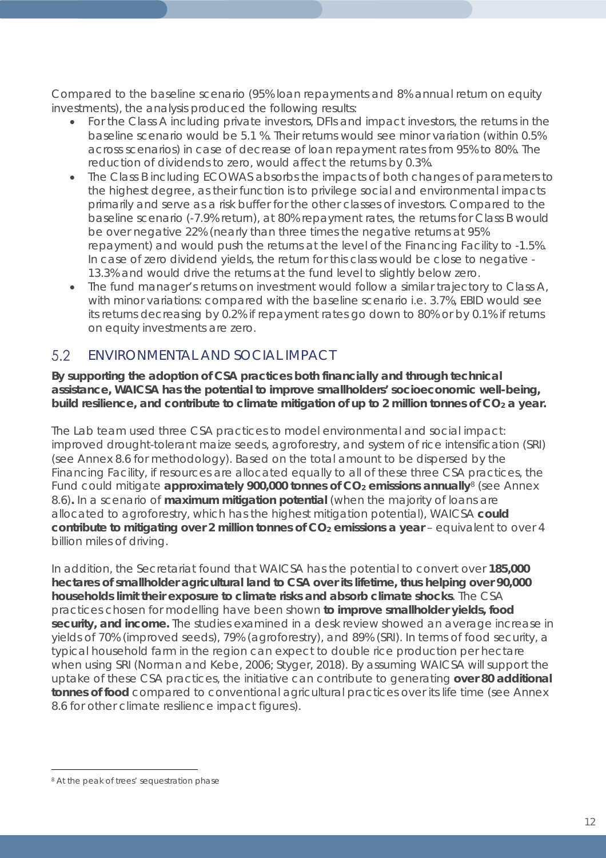Compared to the baseline scenario (95% loan repayments and 8% annual return on equity investments), the analysis produced the following results:

- For the Class A including private investors, DFIs and impact investors, the returns in the baseline scenario would be 5.1 %. Their returns would see minor variation (within 0.5% across scenarios) in case of decrease of loan repayment rates from 95% to 80%. The reduction of dividends to zero, would affect the returns by 0.3%.
- The Class B including ECOWAS absorbs the impacts of both changes of parameters to the highest degree, as their function is to privilege social and environmental impacts primarily and serve as a risk buffer for the other classes of investors. Compared to the baseline scenario (-7.9% return), at 80% repayment rates, the returns for Class B would be over negative 22% (nearly than three times the negative returns at 95% repayment) and would push the returns at the level of the Financing Facility to -1.5%. In case of zero dividend yields, the return for this class would be close to negative - 13.3% and would drive the returns at the fund level to slightly below zero.
- The fund manager's returns on investment would follow a similar trajectory to Class A, with minor variations: compared with the baseline scenario i.e. 3.7%, EBID would see its returns decreasing by 0.2% if repayment rates go down to 80% or by 0.1% if returns on equity investments are zero.

#### 5.2 ENVIRONMENTAL AND SOCIAL IMPACT

**By supporting the adoption of CSA practices both financially and through technical assistance, WAICSA has the potential to improve smallholders' socioeconomic well-being,**  build resilience, and contribute to climate mitigation of up to 2 million tonnes of CO<sub>2</sub> a year.

The Lab team used three CSA practices to model environmental and social impact: improved drought-tolerant maize seeds, agroforestry, and system of rice intensification (SRI) (see Annex 8.6 for methodology). Based on the total amount to be dispersed by the Financing Facility, if resources are allocated equally to all of these three CSA practices, the Fund could mitigate **approximately 900,000 tonnes of CO<sub>2</sub> emissions annually**<sup>[8](#page-11-0)</sup> (see Annex 8.6)**.** In a scenario of **maximum mitigation potential** (when the majority of loans are allocated to agroforestry, which has the highest mitigation potential), WAICSA **could contribute to mitigating over 2 million tonnes of CO<sub>2</sub> emissions a year** – equivalent to over 4 billion miles of driving.

In addition, the Secretariat found that WAICSA has the potential to convert over **185,000 hectares of smallholder agricultural land to CSA over its lifetime, thus helping over 90,000 households limit their exposure to climate risks and absorb climate shocks**. The CSA practices chosen for modelling have been shown **to improve smallholder yields, food security, and income.** The studies examined in a desk review showed an average increase in yields of 70% (improved seeds), 79% (agroforestry), and 89% (SRI). In terms of food security, a typical household farm in the region can expect to double rice production per hectare when using SRI (Norman and Kebe, 2006; Styger, 2018). By assuming WAICSA will support the uptake of these CSA practices, the initiative can contribute to generating **over 80 additional tonnes of food** compared to conventional agricultural practices over its life time (see Annex 8.6 for other climate resilience impact figures).

<span id="page-11-0"></span> $\overline{a}$ <sup>8</sup> At the peak of trees' sequestration phase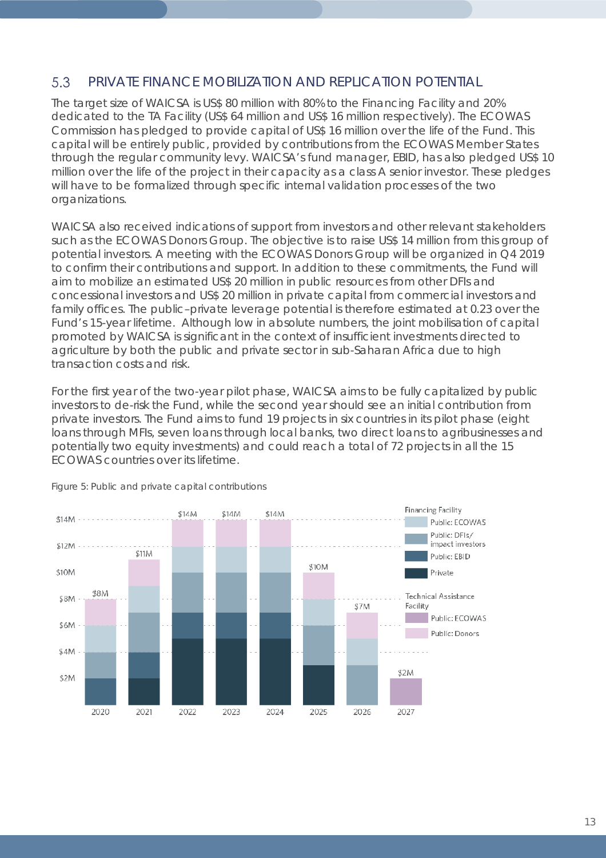#### 5.3 PRIVATE FINANCE MOBILIZATION AND REPLICATION POTENTIAL

The target size of WAICSA is US\$ 80 million with 80% to the Financing Facility and 20% dedicated to the TA Facility (US\$ 64 million and US\$ 16 million respectively). The ECOWAS Commission has pledged to provide capital of US\$ 16 million over the life of the Fund. This capital will be entirely public, provided by contributions from the ECOWAS Member States through the regular community levy. WAICSA's fund manager, EBID, has also pledged US\$ 10 million over the life of the project in their capacity as a class A senior investor. These pledges will have to be formalized through specific internal validation processes of the two organizations.

WAICSA also received indications of support from investors and other relevant stakeholders such as the ECOWAS Donors Group. The objective is to raise US\$ 14 million from this group of potential investors. A meeting with the ECOWAS Donors Group will be organized in Q4 2019 to confirm their contributions and support. In addition to these commitments, the Fund will aim to mobilize an estimated US\$ 20 million in public resources from other DFIs and concessional investors and US\$ 20 million in private capital from commercial investors and family offices. The public–private leverage potential is therefore estimated at 0.23 over the Fund's 15-year lifetime. Although low in absolute numbers, the joint mobilisation of capital promoted by WAICSA is significant in the context of insufficient investments directed to agriculture by both the public and private sector in sub-Saharan Africa due to high transaction costs and risk.

For the first year of the two-year pilot phase, WAICSA aims to be fully capitalized by public investors to de-risk the Fund, while the second year should see an initial contribution from private investors. The Fund aims to fund 19 projects in six countries in its pilot phase (eight loans through MFIs, seven loans through local banks, two direct loans to agribusinesses and potentially two equity investments) and could reach a total of 72 projects in all the 15 ECOWAS countries over its lifetime.



*Figure 5: Public and private capital contributions*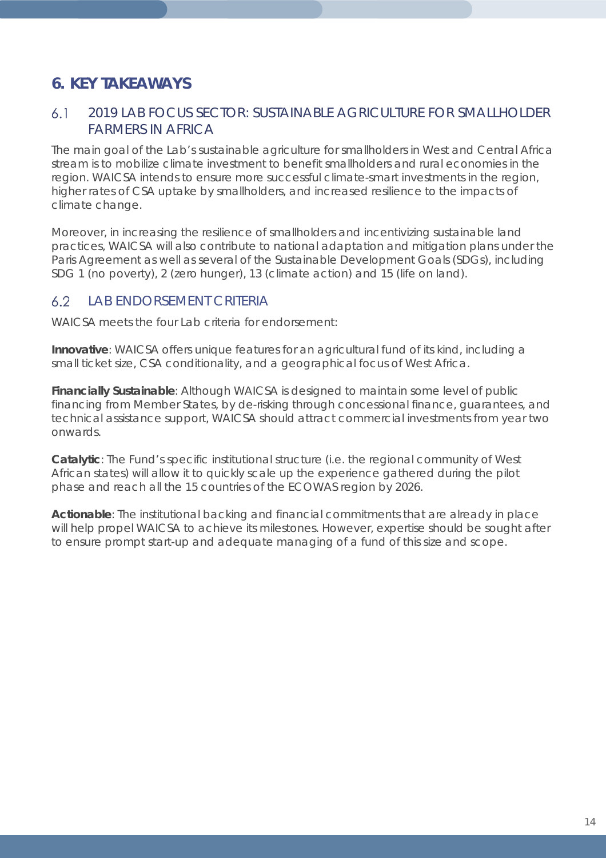# **6. KEY TAKEAWAYS**

#### $6.1$ 2019 LAB FOCUS SECTOR: SUSTAINABLE AGRICULTURE FOR SMALLHOLDER FARMERS IN AFRICA

The main goal of the Lab's sustainable agriculture for smallholders in West and Central Africa stream is to mobilize climate investment to benefit smallholders and rural economies in the region. WAICSA intends to ensure more successful climate-smart investments in the region, higher rates of CSA uptake by smallholders, and increased resilience to the impacts of climate change.

Moreover, in increasing the resilience of smallholders and incentivizing sustainable land practices, WAICSA will also contribute to national adaptation and mitigation plans under the Paris Agreement as well as several of the Sustainable Development Goals (SDGs), including SDG 1 (no poverty), 2 (zero hunger), 13 (climate action) and 15 (life on land).

#### $6.2$ LAB ENDORSEMENT CRITERIA

WAICSA meets the four Lab criteria for endorsement:

**Innovative**: WAICSA offers unique features for an agricultural fund of its kind, including a small ticket size, CSA conditionality, and a geographical focus of West Africa.

**Financially Sustainable**: Although WAICSA is designed to maintain some level of public financing from Member States, by de-risking through concessional finance, guarantees, and technical assistance support, WAICSA should attract commercial investments from year two onwards.

**Catalytic**: The Fund's specific institutional structure (i.e. the regional community of West African states) will allow it to quickly scale up the experience gathered during the pilot phase and reach all the 15 countries of the ECOWAS region by 2026.

**Actionable**: The institutional backing and financial commitments that are already in place will help propel WAICSA to achieve its milestones. However, expertise should be sought after to ensure prompt start-up and adequate managing of a fund of this size and scope.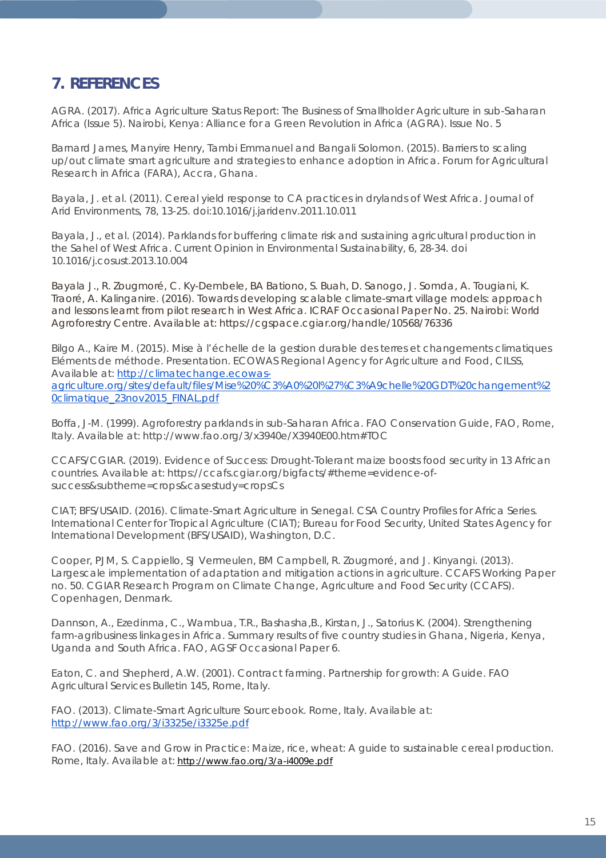# **7. REFERENCES**

AGRA. (2017). Africa Agriculture Status Report: The Business of Smallholder Agriculture in sub-Saharan Africa (Issue 5). Nairobi, Kenya: Alliance for a Green Revolution in Africa (AGRA). Issue No. 5

Barnard James, Manyire Henry, Tambi Emmanuel and Bangali Solomon. (2015). Barriers to scaling up/out climate smart agriculture and strategies to enhance adoption in Africa. Forum for Agricultural Research in Africa (FARA), Accra, Ghana.

Bayala, J. et al. (2011). Cereal yield response to CA practices in drylands of West Africa. *Journal of Arid Environments, 78*, 13-25. [doi:10.1016/j.jaridenv.2011.10.011](https://doi.org/10.1016/j.jaridenv.2011.10.011)

Bayala, J., et al. (2014). Parklands for buffering climate risk and sustaining agricultural production in the Sahel of West Africa. *Current Opinion in Environmental Sustainability*, 6, 28-34. doi [10.1016/j.cosust.2013.10.004](https://doi.org/10.1016/j.cosust.2013.10.004)

Bayala J., R. Zougmoré, C. Ky-Dembele, BA Bationo, S. Buah, D. Sanogo, J. Somda, A. Tougiani, K. Traoré, A. Kalinganire. (2016). Towards developing scalable climate-smart village models: approach and lessons learnt from pilot research in West Africa. ICRAF Occasional Paper No. 25. Nairobi: World Agroforestry Centre. Available at: https://cgspace.cgiar.org/handle/10568/76336

Bilgo A., Kaire M. (2015). Mise à l'échelle de la gestion durable des terres et changements climatiques Eléments de méthode. Presentation. ECOWAS Regional Agency for Agriculture and Food, CILSS, Available at: [http://climatechange.ecowas](http://climatechange.ecowas-agriculture.org/sites/default/files/Mise%20%C3%A0%20l%27%C3%A9chelle%20GDT%20changement%20climatique_23nov2015_FINAL.pdf)[agriculture.org/sites/default/files/Mise%20%C3%A0%20l%27%C3%A9chelle%20GDT%20changement%2](http://climatechange.ecowas-agriculture.org/sites/default/files/Mise%20%C3%A0%20l%27%C3%A9chelle%20GDT%20changement%20climatique_23nov2015_FINAL.pdf) [0climatique\\_23nov2015\\_FINAL.pdf](http://climatechange.ecowas-agriculture.org/sites/default/files/Mise%20%C3%A0%20l%27%C3%A9chelle%20GDT%20changement%20climatique_23nov2015_FINAL.pdf)

Boffa, J-M. (1999). Agroforestry parklands in sub-Saharan Africa. FAO Conservation Guide, FAO, Rome, Italy. Available at: http://www.fao.org/3/x3940e/X3940E00.htm#TOC

CCAFS/CGIAR. (2019). Evidence of Success: Drought-Tolerant maize boosts food security in 13 African countries. Available at: https://ccafs.cgiar.org/bigfacts/#theme=evidence-ofsuccess&subtheme=crops&casestudy=cropsCs

CIAT; BFS/USAID. (2016). Climate-Smart Agriculture in Senegal. CSA Country Profiles for Africa Series. International Center for Tropical Agriculture (CIAT); Bureau for Food Security, United States Agency for International Development (BFS/USAID), Washington, D.C.

Cooper, PJM, S. Cappiello, SJ Vermeulen, BM Campbell, R. Zougmoré, and J. Kinyangi. (2013). Largescale implementation of adaptation and mitigation actions in agriculture. CCAFS Working Paper no. 50. CGIAR Research Program on Climate Change, Agriculture and Food Security (CCAFS). Copenhagen, Denmark.

Dannson, A., Ezedinma, C., Wambua, T.R., Bashasha,B., Kirstan, J., Satorius K. (2004). *Strengthening farm-agribusiness linkages in Africa. Summary results of five country studies in Ghana, Nigeria, Kenya, Uganda and South Africa*. FAO, AGSF Occasional Paper 6.

Eaton, C. and Shepherd, A.W. (2001). Contract farming. Partnership for growth: A Guide. *FAO Agricultural Services Bulletin* 145, Rome, Italy.

FAO. (2013). Climate-Smart Agriculture Sourcebook. Rome, Italy. Available at: <http://www.fao.org/3/i3325e/i3325e.pdf>

FAO. (2016). Save and Grow in Practice: Maize, rice, wheat: A guide to sustainable cereal production. Rome, Italy. Available at:<http://www.fao.org/3/a-i4009e.pdf>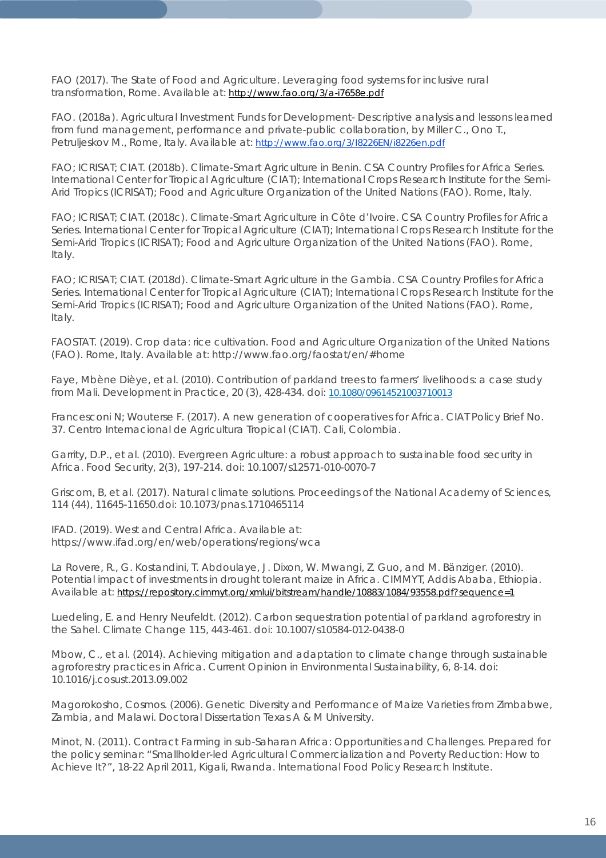FAO (2017). The State of Food and Agriculture. Leveraging food systems for inclusive rural transformation, Rome. Available at:<http://www.fao.org/3/a-i7658e.pdf>

FAO. (2018a). Agricultural Investment Funds for Development- Descriptive analysis and lessons learned from fund management, performance and private-public collaboration, by Miller C., Ono T., Petruljeskov M., Rome, Italy. Available at:<http://www.fao.org/3/I8226EN/i8226en.pdf>

FAO; ICRISAT; CIAT. (2018b). Climate-Smart Agriculture in Benin. CSA Country Profiles for Africa Series. International Center for Tropical Agriculture (CIAT); International Crops Research Institute for the Semi-Arid Tropics (ICRISAT); Food and Agriculture Organization of the United Nations (FAO). Rome, Italy.

FAO; ICRISAT; CIAT. (2018c). Climate-Smart Agriculture in Côte d'Ivoire. CSA Country Profiles for Africa Series. International Center for Tropical Agriculture (CIAT); International Crops Research Institute for the Semi-Arid Tropics (ICRISAT); Food and Agriculture Organization of the United Nations (FAO). Rome, Italy.

FAO; ICRISAT; CIAT. (2018d). Climate-Smart Agriculture in the Gambia. CSA Country Profiles for Africa Series. International Center for Tropical Agriculture (CIAT); International Crops Research Institute for the Semi-Arid Tropics (ICRISAT); Food and Agriculture Organization of the United Nations (FAO). Rome, Italy.

FAOSTAT. (2019). Crop data: rice cultivation. Food and Agriculture Organization of the United Nations (FAO). Rome, Italy. Available at:<http://www.fao.org/faostat/en/#home>

Faye, Mbène Dièye, et al. (2010). Contribution of parkland trees to farmers' livelihoods: a case study from Mali. *Development in Practice, 20* (3), 428-434. doi: [10.1080/09614521003710013](https://doi.org/10.1080/09614521003710013)

Francesconi N; Wouterse F. (2017). A new generation of cooperatives for Africa. CIAT Policy Brief No. 37. Centro Internacional de Agricultura Tropical (CIAT). Cali, Colombia.

Garrity, D.P., et al. (2010). Evergreen Agriculture: a robust approach to sustainable food security in Africa. Food Security, 2(3), 197-214. doi: 10.1007/s12571-010-0070-7

Griscom, B, et al. (2017). Natural climate solutions. *Proceedings of the National Academy of Sciences, 114* (44), 11645-11650.doi: 10.1073/pnas.1710465114

IFAD. (2019). West and Central Africa. Available at: <https://www.ifad.org/en/web/operations/regions/wca>

La Rovere, R., G. Kostandini, T. Abdoulaye, J. Dixon, W. Mwangi, Z. Guo, and M. Bänziger. (2010). Potential impact of investments in drought tolerant maize in Africa. CIMMYT, Addis Ababa, Ethiopia. Available at:<https://repository.cimmyt.org/xmlui/bitstream/handle/10883/1084/93558.pdf?sequence=1>

Luedeling, E. and Henry Neufeldt. (2012). Carbon sequestration potential of parkland agroforestry in *the Sahel. Climate Change 115*, 443-461. doi: 10.1007/s10584-012-0438-0

Mbow, C., et al. (2014). Achieving mitigation and adaptation to climate change through sustainable agroforestry practices in Africa. Current Opinion in Environmental Sustainability, 6, 8-14. doi: 10.1016/j.cosust.2013.09.002

Magorokosho, Cosmos. (2006). Genetic Diversity and Performance of Maize Varieties from Zimbabwe, Zambia, and Malawi. Doctoral Dissertation Texas A & M University.

Minot, N. (2011). Contract Farming in sub-Saharan Africa: Opportunities and Challenges. Prepared for the policy seminar: "Smallholder-led Agricultural Commercialization and Poverty Reduction: How to Achieve It?", 18-22 April 2011, Kigali, Rwanda. International Food Policy Research Institute.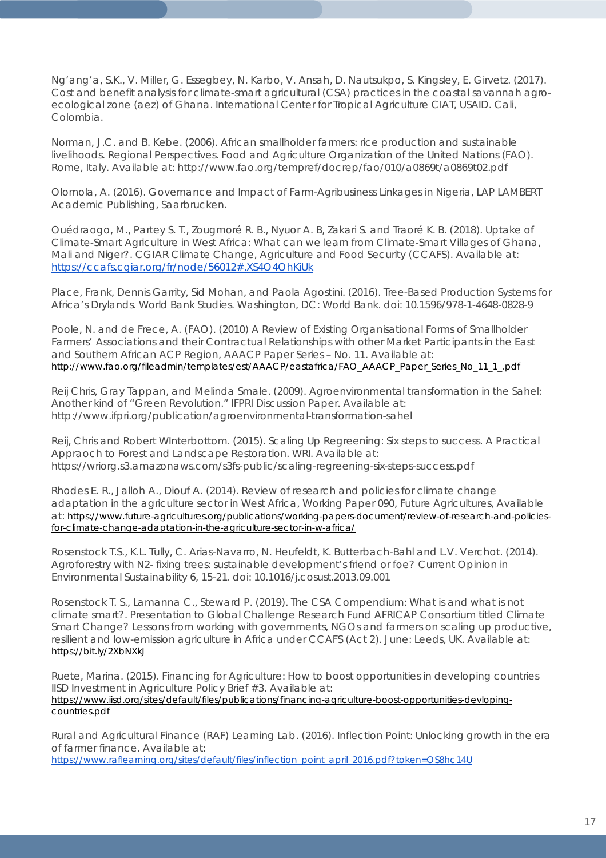Ng'ang'a, S.K., V. Miller, G. Essegbey, N. Karbo, V. Ansah, D. Nautsukpo, S. Kingsley, E. Girvetz. (2017). Cost and benefit analysis for climate-smart agricultural (CSA) practices in the coastal savannah agroecological zone (aez) of Ghana. International Center for Tropical Agriculture CIAT, USAID. Cali, Colombia.

Norman, J.C. and B. Kebe. (2006). African smallholder farmers: rice production and sustainable livelihoods. Regional Perspectives. Food and Agriculture Organization of the United Nations (FAO). Rome, Italy. Available at: http://www.fao.org/tempref/docrep/fao/010/a0869t/a0869t02.pdf

Olomola, A. (2016). *Governance and Impact of Farm-Agribusiness Linkages in Nigeria*, LAP LAMBERT Academic Publishing, Saarbrucken.

Ouédraogo, M., Partey S. T., Zougmoré R. B., Nyuor A. B, Zakari S. and Traoré K. B. (2018). Uptake of Climate-Smart Agriculture in West Africa: What can we learn from Climate-Smart Villages of Ghana, Mali and Niger?. CGIAR Climate Change, Agriculture and Food Security (CCAFS). Available at: <https://ccafs.cgiar.org/fr/node/56012#.XS4O4OhKiUk>

Place, Frank, Dennis Garrity, Sid Mohan, and Paola Agostini. (2016). Tree-Based Production Systems for Africa's Drylands. World Bank Studies. Washington, DC: World Bank. doi: 10.1596/978-1-4648-0828-9

Poole, N. and de Frece, A. (FAO). (2010) A Review of Existing Organisational Forms of Smallholder Farmers' Associations and their Contractual Relationships with other Market Participants in the East and Southern African ACP Region, AAACP Paper Series – No. 11. Available at: [http://www.fao.org/fileadmin/templates/est/AAACP/eastafrica/FAO\\_AAACP\\_Paper\\_Series\\_No\\_11\\_1\\_.pdf](http://www.fao.org/fileadmin/templates/est/AAACP/eastafrica/FAO_AAACP_Paper_Series_No_11_1_.pdf)

Reij Chris, Gray Tappan, and Melinda Smale. (2009). Agroenvironmental transformation in the Sahel: Another kind of "Green Revolution." IFPRI Discussion Paper. Available at: http://www.ifpri.org/publication/agroenvironmental-transformation-sahel

Reij, Chris and Robert WInterbottom. (2015). Scaling Up Regreening: Six steps to success. A Practical Appraoch to Forest and Landscape Restoration. WRI. Available at: <https://wriorg.s3.amazonaws.com/s3fs-public/scaling-regreening-six-steps-success.pdf>

Rhodes E. R., Jalloh A., Diouf A. (2014). Review of research and policies for climate change adaptation in the agriculture sector in West Africa, Working Paper 090, Future Agricultures, Available at: [https://www.future-agricultures.org/publications/working-papers-document/review-of-research-and-policies](https://www.future-agricultures.org/publications/working-papers-document/review-of-research-and-policies-for-climate-change-adaptation-in-the-agriculture-sector-in-w-africa/)[for-climate-change-adaptation-in-the-agriculture-sector-in-w-africa/](https://www.future-agricultures.org/publications/working-papers-document/review-of-research-and-policies-for-climate-change-adaptation-in-the-agriculture-sector-in-w-africa/) 

Rosenstock T.S., K.L. Tully, C. Arias-Navarro, N. Heufeldt, K. Butterbach-Bahl and L.V. Verchot. (2014). Agroforestry with N2- fixing trees: sustainable development's friend or foe? *Current Opinion in Environmental Sustainability 6,* 15-21. doi: 10.1016/j.cosust.2013.09.001

Rosenstock T. S., Lamanna C., Steward P. (2019). *The CSA Compendium: What is and what is not climate smart?*. Presentation to Global Challenge Research Fund AFRICAP Consortium titled Climate Smart Change? Lessons from working with governments, NGOs and farmers on scaling up productive, resilient and low-emission agriculture in Africa under CCAFS (Act 2). June: Leeds, UK. Available at: <https://bit.ly/2XbNXkJ>

Ruete, Marina. (2015). Financing for Agriculture: How to boost opportunities in developing countries IISD Investment in Agriculture Policy Brief #3. Available at: [https://www.iisd.org/sites/default/files/publications/financing-agriculture-boost-opportunities-devloping](https://www.iisd.org/sites/default/files/publications/financing-agriculture-boost-opportunities-devloping-countries.pdf)[countries.pdf](https://www.iisd.org/sites/default/files/publications/financing-agriculture-boost-opportunities-devloping-countries.pdf)

Rural and Agricultural Finance (RAF) Learning Lab. (2016). Inflection Point: Unlocking growth in the era of farmer finance. Available at:

[https://www.raflearning.org/sites/default/files/inflection\\_point\\_april\\_2016.pdf?token=OS8hc14U](https://www.raflearning.org/sites/default/files/inflection_point_april_2016.pdf?token=OS8hc14U)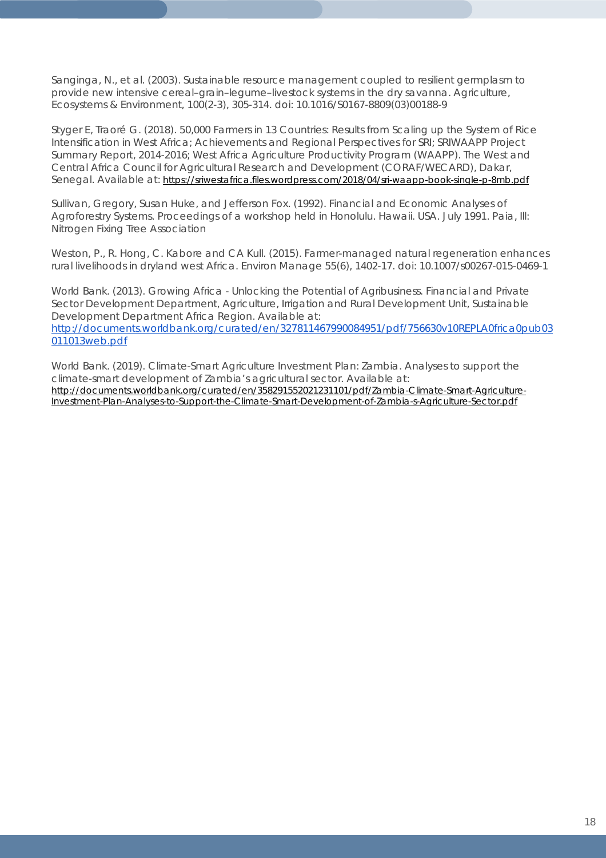Sanginga, N., et al. (2003). Sustainable resource management coupled to resilient germplasm to provide new intensive cereal–grain–legume–livestock systems in the dry savanna. *Agriculture, Ecosystems & Environment, 100*(2-3), 305-314. [doi: 10.1016/S0167-8809\(03\)00188-9](https://doi.org/10.1016/S0167-8809(03)00188-9)

Styger E, Traoré G. (2018). 50,000 Farmers in 13 Countries: Results from Scaling up the System of Rice Intensification in West Africa; Achievements and Regional Perspectives for SRI; SRIWAAPP Project Summary Report, 2014-2016; West Africa Agriculture Productivity Program (WAAPP). The West and Central Africa Council for Agricultural Research and Development (CORAF/WECARD), Dakar, Senegal. Available at:<https://sriwestafrica.files.wordpress.com/2018/04/sri-waapp-book-single-p-8mb.pdf>

Sullivan, Gregory, Susan Huke, and Jefferson Fox. (1992). Financial and Economic Analyses of Agroforestry Systems. Proceedings of a workshop held in Honolulu. Hawaii. USA. July 1991. Paia, Ill: Nitrogen Fixing Tree Association

Weston, P., R. Hong, C. Kabore and CA Kull. (2015). Farmer-managed natural regeneration enhances rural livelihoods in dryland west Africa. Environ Manage 55(6), 1402-17. doi: 10.1007/s00267-015-0469-1

World Bank. (2013). *Growing Africa - Unlocking the Potential of Agribusiness*. Financial and Private Sector Development Department, Agriculture, Irrigation and Rural Development Unit, Sustainable Development Department Africa Region. Available at: [http://documents.worldbank.org/curated/en/327811467990084951/pdf/756630v10REPLA0frica0pub03](http://documents.worldbank.org/curated/en/327811467990084951/pdf/756630v10REPLA0frica0pub03011013web.pdf) [011013web.pdf](http://documents.worldbank.org/curated/en/327811467990084951/pdf/756630v10REPLA0frica0pub03011013web.pdf)

World Bank. (2019). Climate-Smart Agriculture Investment Plan: Zambia. Analyses to support the climate-smart development of Zambia's agricultural sector. Available at: [http://documents.worldbank.org/curated/en/358291552021231101/pdf/Zambia-Climate-Smart-Agriculture-](http://documents.worldbank.org/curated/en/358291552021231101/pdf/Zambia-Climate-Smart-Agriculture-Investment-Plan-Analyses-to-Support-the-Climate-Smart-Development-of-Zambia-s-Agriculture-Sector.pdf)[Investment-Plan-Analyses-to-Support-the-Climate-Smart-Development-of-Zambia-s-Agriculture-Sector.pdf](http://documents.worldbank.org/curated/en/358291552021231101/pdf/Zambia-Climate-Smart-Agriculture-Investment-Plan-Analyses-to-Support-the-Climate-Smart-Development-of-Zambia-s-Agriculture-Sector.pdf)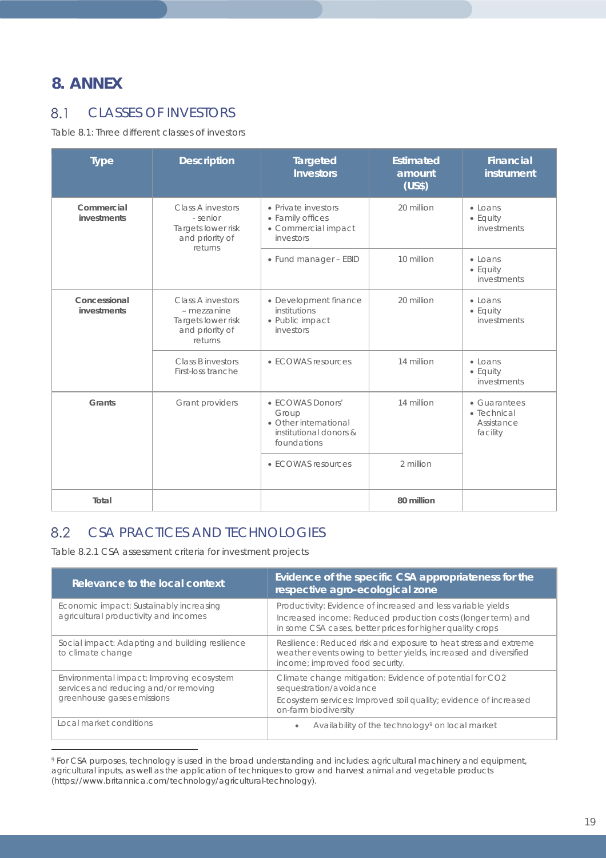# **8. ANNEX**

 $\overline{a}$ 

#### 8.1 CLASSES OF INVESTORS

*Table 8.1: Three different classes of investors*

| <b>Type</b>                 | <b>Description</b>                                                                          | <b>Targeted</b><br><b>Investors</b>                                                         | <b>Estimated</b><br>amount<br>(US\$) | <b>Financial</b><br>instrument                                |
|-----------------------------|---------------------------------------------------------------------------------------------|---------------------------------------------------------------------------------------------|--------------------------------------|---------------------------------------------------------------|
| Commercial<br>investments   | Class A investors<br>- senior<br>Targets lower risk<br>and priority of                      | • Private investors<br>• Family offices<br>• Commercial impact<br>investors                 | 20 million                           | $\bullet$ Loans<br>$\bullet$ Equity<br>investments            |
|                             | returns                                                                                     | • Fund manager - EBID                                                                       | 10 million                           | $\bullet$ Loans<br>$\bullet$ Equity<br>investments            |
| Concessional<br>investments | <b>Class A investors</b><br>- mezzanine<br>Targets lower risk<br>and priority of<br>returns | • Development finance<br>institutions<br>· Public impact<br>investors                       | 20 million                           | $\bullet$ Loans<br>$\bullet$ Equity<br>investments            |
|                             | Class B investors<br>First-loss tranche                                                     | • ECOWAS resources                                                                          | 14 million                           | $\bullet$ Loans<br>• Equity<br>investments                    |
| Grants                      | Grant providers                                                                             | • ECOWAS Donors'<br>Group<br>• Other international<br>institutional donors &<br>foundations | 14 million                           | • Guarantees<br>$\bullet$ Technical<br>Assistance<br>facility |
|                             |                                                                                             | • ECOWAS resources                                                                          | 2 million                            |                                                               |
| Total                       |                                                                                             |                                                                                             | 80 million                           |                                                               |

#### 8.2 CSA PRACTICES AND TECHNOLOGIES

*Table 8.2.1 CSA assessment criteria for investment projects*

| Relevance to the local context                                                                                   | Evidence of the specific CSA appropriateness for the<br>respective agro-ecological zone                                                                                                   |  |  |  |
|------------------------------------------------------------------------------------------------------------------|-------------------------------------------------------------------------------------------------------------------------------------------------------------------------------------------|--|--|--|
| Economic impact: Sustainably increasing<br>agricultural productivity and incomes                                 | Productivity: Evidence of increased and less variable yields<br>Increased income: Reduced production costs (longer term) and<br>in some CSA cases, better prices for higher quality crops |  |  |  |
| Social impact: Adapting and building resilience<br>to climate change                                             | Resilience: Reduced risk and exposure to heat stress and extreme<br>weather events owing to better yields, increased and diversified<br>income; improved food security.                   |  |  |  |
| Environmental impact: Improving ecosystem<br>services and reducing and/or removing<br>greenhouse gases emissions | Climate change mitigation: Evidence of potential for CO2<br>sequestration/avoidance<br>Ecosystem services: Improved soil quality; evidence of increased<br>on-farm biodiversity           |  |  |  |
| Local market conditions                                                                                          | Availability of the technology <sup>9</sup> on local market<br>$\bullet$                                                                                                                  |  |  |  |

<span id="page-18-0"></span><sup>9</sup> For CSA purposes, technology is used in the broad understanding and includes: agricultural machinery and equipment, agricultural inputs, as well as the application of techniques to grow and harvest animal and vegetable products (https://www.britannica.com/technology/agricultural-technology).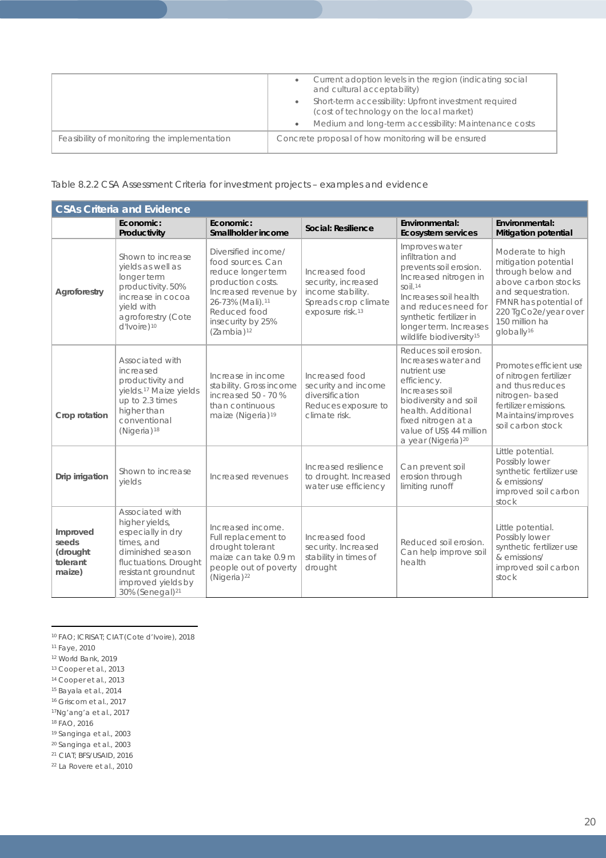|                                              | Current adoption levels in the region (indicating social<br>and cultural acceptability)           |
|----------------------------------------------|---------------------------------------------------------------------------------------------------|
|                                              | Short-term accessibility: Upfront investment required<br>(cost of technology on the local market) |
|                                              | Medium and long-term accessibility: Maintenance costs                                             |
| Feasibility of monitoring the implementation | Concrete proposal of how monitoring will be ensured                                               |

*Table 8.2.2 CSA Assessment Criteria for investment projects – examples and evidence*

| <b>CSAs Criteria and Evidence</b>                   |                                                                                                                                                                                                |                                                                                                                                                                                                     |                                                                                                                    |                                                                                                                                                                                                                                                              |                                                                                                                                                                                                         |  |  |
|-----------------------------------------------------|------------------------------------------------------------------------------------------------------------------------------------------------------------------------------------------------|-----------------------------------------------------------------------------------------------------------------------------------------------------------------------------------------------------|--------------------------------------------------------------------------------------------------------------------|--------------------------------------------------------------------------------------------------------------------------------------------------------------------------------------------------------------------------------------------------------------|---------------------------------------------------------------------------------------------------------------------------------------------------------------------------------------------------------|--|--|
|                                                     | Economic:<br>Productivity                                                                                                                                                                      | Economic:<br>Smallholder income                                                                                                                                                                     | <b>Social: Resilience</b>                                                                                          | Environmental:<br><b>Ecosystem services</b>                                                                                                                                                                                                                  | Environmental:<br><b>Mitigation potential</b>                                                                                                                                                           |  |  |
| Agroforestry                                        | Shown to increase<br>yields as well as<br>longer term<br>productivity. 50%<br>increase in cocoa<br>yield with<br>agroforestry (Cote<br>d'Ivoire) <sup>10</sup>                                 | Diversified income/<br>food sources. Can<br>reduce longer term<br>production costs.<br>Increased revenue by<br>26-73% (Mali). <sup>11</sup><br>Reduced food<br>insecurity by 25%<br>$(Zambia)^{12}$ | Increased food<br>security, increased<br>income stability.<br>Spreads crop climate<br>exposure risk. <sup>13</sup> | Improves water<br>infiltration and<br>prevents soil erosion.<br>Increased nitrogen in<br>$S$ oil. <sup>14</sup><br>Increases soil health<br>and reduces need for<br>synthetic fertilizer in<br>longer term. Increases<br>wildlife biodiversity <sup>15</sup> | Moderate to high<br>mitigation potential<br>through below and<br>above carbon stocks<br>and sequestration.<br>FMNR has potential of<br>220 TgCo2e/year over<br>150 million ha<br>globally <sup>16</sup> |  |  |
| Crop rotation                                       | Associated with<br>increased<br>productivity and<br>yields. <sup>17</sup> Maize yields<br>up to 2.3 times<br>higher than<br>conventional<br>(Nigeria) <sup>18</sup>                            | Increase in income<br>stability. Gross income<br>increased $50 - 70$ %<br>than continuous<br>maize (Nigeria) <sup>19</sup>                                                                          | Increased food<br>security and income<br>diversification<br>Reduces exposure to<br>climate risk.                   | Reduces soil erosion.<br>Increases water and<br>nutrient use<br>efficiency.<br>Increases soil<br>biodiversity and soil<br>health. Additional<br>fixed nitrogen at a<br>value of US\$ 44 million<br>a year (Nigeria) <sup>20</sup>                            | Promotes efficient use<br>of nitrogen fertilizer<br>and thus reduces<br>nitrogen-based<br>fertilizer emissions.<br>Maintains/improves<br>soil carbon stock                                              |  |  |
| Drip irrigation                                     | Shown to increase<br>yields                                                                                                                                                                    | Increased revenues                                                                                                                                                                                  | Increased resilience<br>to drought. Increased<br>water use efficiency                                              | Can prevent soil<br>erosion through<br>limiting runoff                                                                                                                                                                                                       | Little potential.<br>Possibly lower<br>synthetic fertilizer use<br>& emissions/<br>improved soil carbon<br>stock                                                                                        |  |  |
| Improved<br>seeds<br>(drought<br>tolerant<br>maize) | Associated with<br>higher yields,<br>especially in dry<br>times, and<br>diminished season<br>fluctuations. Drought<br>resistant groundnut<br>improved yields by<br>30% (Senegal) <sup>21</sup> | Increased income.<br>Full replacement to<br>drought tolerant<br>maize can take 0.9 m<br>people out of poverty<br>(Nigeria) <sup>22</sup>                                                            | Increased food<br>security. Increased<br>stability in times of<br>drought                                          | Reduced soil erosion.<br>Can help improve soil<br>health                                                                                                                                                                                                     | Little potential.<br>Possibly lower<br>synthetic fertilizer use<br>& emissions/<br>improved soil carbon<br>stock                                                                                        |  |  |

 $\overline{a}$ <sup>10</sup> FAO; ICRISAT; CIAT (Cote d'Ivoire), 2018

- <span id="page-19-4"></span><sup>14</sup> Cooper et al., 2013
- <span id="page-19-5"></span><sup>15</sup> Bayala et al., 2014
- <span id="page-19-6"></span><sup>16</sup> Griscom et al., 2017
- <span id="page-19-7"></span>17Ng'ang'a et al., 2017

<span id="page-19-8"></span><sup>18</sup> FAO, 2016

<span id="page-19-9"></span><sup>19</sup> Sanginga et al., 2003

<span id="page-19-10"></span><sup>20</sup> Sanginga et al., 2003

<span id="page-19-11"></span><sup>21</sup> CIAT; BFS/USAID, 2016

<span id="page-19-12"></span><sup>22</sup> La Rovere et al., 2010

<span id="page-19-1"></span><span id="page-19-0"></span><sup>11</sup> Faye, 2010

<span id="page-19-2"></span><sup>12</sup> World Bank, 2019

<span id="page-19-3"></span><sup>13</sup> Cooper et al., 2013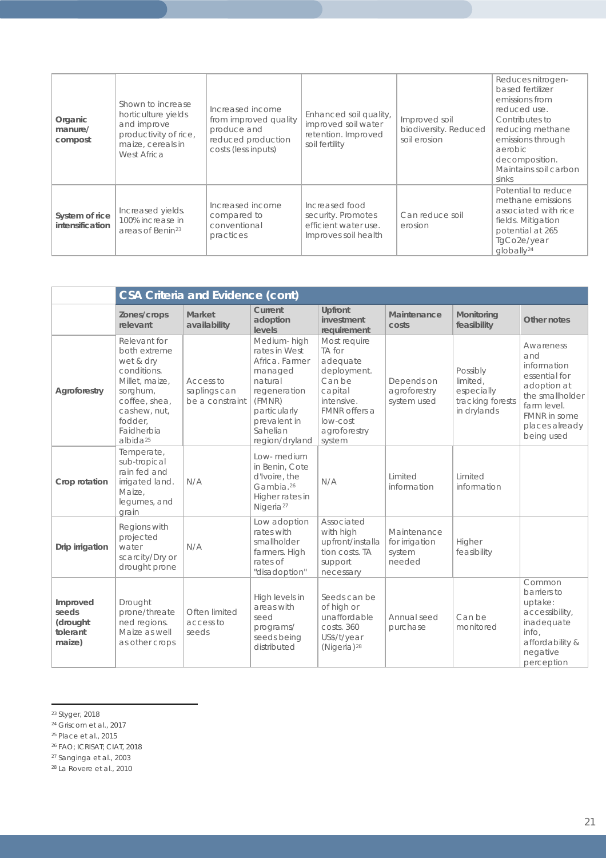| Organic<br>manure/<br>compost     | Shown to increase<br>horticulture yields<br>and improve<br>productivity of rice,<br>maize, cereals in<br>West Africa | Increased income<br>from improved quality<br>produce and<br>reduced production<br>costs (less inputs) | Enhanced soil quality,<br>improved soil water<br>retention. Improved<br>soil fertility | Improved soil<br>biodiversity. Reduced<br>soil erosion | Reduces nitrogen-<br>based fertilizer<br>emissions from<br>reduced use.<br>Contributes to<br>reducing methane<br>emissions through<br>aerobic<br>decomposition.<br>Maintains soil carbon<br>sinks |
|-----------------------------------|----------------------------------------------------------------------------------------------------------------------|-------------------------------------------------------------------------------------------------------|----------------------------------------------------------------------------------------|--------------------------------------------------------|---------------------------------------------------------------------------------------------------------------------------------------------------------------------------------------------------|
| System of rice<br>intensification | Increased yields.<br>100% increase in<br>areas of Benin <sup>23</sup>                                                | Increased income<br>compared to<br>conventional<br>practices                                          | Increased food<br>security. Promotes<br>efficient water use.<br>Improves soil health   | Can reduce soil<br>erosion                             | Potential to reduce<br>methane emissions<br>associated with rice<br>fields. Mitigation<br>potential at 265<br>TgCo2e/year<br>globally <sup>24</sup>                                               |

|                                                     | <b>CSA Criteria and Evidence (cont)</b>                                                                                                                                  |                                              |                                                                                                                                                              |                                                                                                                                             |                                                   |                                                                       |                                                                                                                                                          |  |
|-----------------------------------------------------|--------------------------------------------------------------------------------------------------------------------------------------------------------------------------|----------------------------------------------|--------------------------------------------------------------------------------------------------------------------------------------------------------------|---------------------------------------------------------------------------------------------------------------------------------------------|---------------------------------------------------|-----------------------------------------------------------------------|----------------------------------------------------------------------------------------------------------------------------------------------------------|--|
|                                                     | Zones/crops<br>relevant                                                                                                                                                  | Market<br>availability                       | Current<br>adoption<br>levels                                                                                                                                | Upfront<br>investment<br>requirement                                                                                                        | Maintenance<br>costs                              | Monitoring<br>feasibility                                             | Other notes                                                                                                                                              |  |
| Agroforestry                                        | Relevant for<br>both extreme<br>wet & dry<br>conditions.<br>Millet, maize,<br>sorghum,<br>coffee, shea,<br>cashew, nut,<br>fodder.<br>Faidherbia<br>albida <sup>25</sup> | Access to<br>saplings can<br>be a constraint | Medium-high<br>rates in West<br>Africa. Farmer<br>managed<br>natural<br>regeneration<br>(FMNR)<br>particularly<br>prevalent in<br>Sahelian<br>region/dryland | Most require<br>TA for<br>adequate<br>deployment.<br>Can be<br>capital<br>intensive.<br>FMNR offers a<br>low-cost<br>agroforestry<br>system | Depends on<br>agroforestry<br>system used         | Possibly<br>limited,<br>especially<br>tracking forests<br>in drylands | Awareness<br>and<br>information<br>essential for<br>adoption at<br>the smallholder<br>farm level.<br><b>FMNR</b> in some<br>places already<br>being used |  |
| Crop rotation                                       | Temperate,<br>sub-tropical<br>rain fed and<br>irrigated land.<br>Maize.<br>lequmes, and<br>arain                                                                         | N/A                                          | Low-medium<br>in Benin, Cote<br>d'Ivoire, the<br>Gambia. <sup>26</sup><br>Higher rates in<br>Nigeria <sup>27</sup>                                           | N/A                                                                                                                                         | Limited<br>information                            | Limited<br>information                                                |                                                                                                                                                          |  |
| Drip irrigation                                     | Regions with<br>projected<br>water<br>scarcity/Dry or<br>drought prone                                                                                                   | N/A                                          | Low adoption<br>rates with<br>smallholder<br>farmers. High<br>rates of<br>"disadoption"                                                                      | Associated<br>with high<br>upfront/installa<br>tion costs. TA<br>support<br>necessary                                                       | Maintenance<br>for irrigation<br>system<br>needed | Higher<br>feasibility                                                 |                                                                                                                                                          |  |
| Improved<br>seeds<br>(drought<br>tolerant<br>maize) | Drought<br>prone/threate<br>ned regions.<br>Maize as well<br>as other crops                                                                                              | Often limited<br>access to<br>seeds          | High levels in<br>areas with<br>seed<br>programs/<br>seeds being<br>distributed                                                                              | Seeds can be<br>of high or<br>unaffordable<br>costs. 360<br>US\$/t/year<br>(Nigeria) <sup>28</sup>                                          | Annual seed<br>purchase                           | Can be<br>monitored                                                   | Common<br>barriers to<br>uptake:<br>accessibility,<br>inadequate<br>info,<br>affordability &<br>negative<br>perception                                   |  |

 $\overline{a}$ <sup>23</sup> Styger, 2018

<span id="page-20-0"></span><sup>24</sup> Griscom et al., 2017

<span id="page-20-2"></span><span id="page-20-1"></span><sup>25</sup> Place et al., 2015

<span id="page-20-3"></span><sup>26</sup> FAO; ICRISAT; CIAT, 2018

<span id="page-20-4"></span><sup>27</sup> Sanginga et al., 2003

<span id="page-20-5"></span><sup>28</sup> La Rovere et al., 2010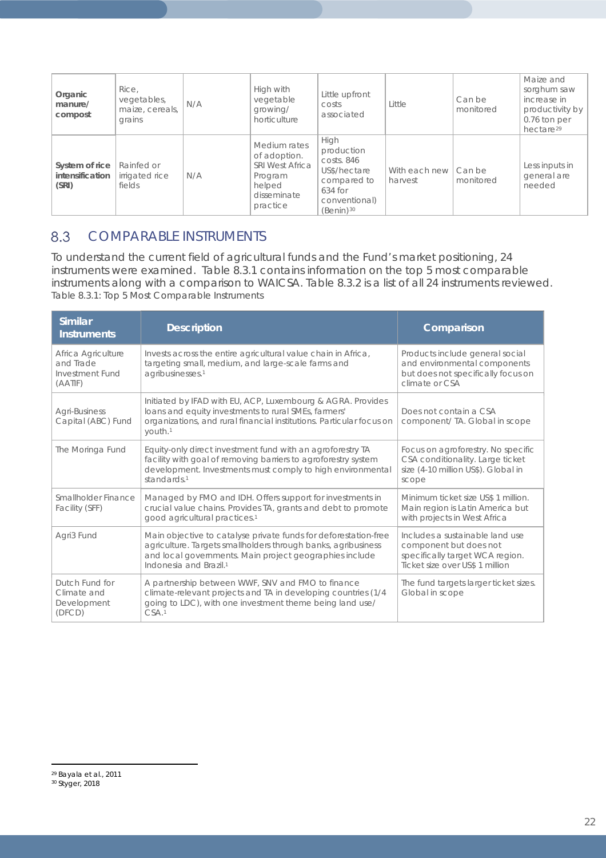| Organic<br>manure/<br>compost              | Rice,<br>vegetables,<br>maize, cereals,<br>grains | N/A | High with<br>vegetable<br>growing/<br>horticulture                                              | Little upfront<br>costs<br>associated                                                                                    | Little                   | Can be<br>monitored | Maize and<br>sorghum saw<br>increase in<br>productivity by<br>0.76 ton per<br>hectare <sup>29</sup> |
|--------------------------------------------|---------------------------------------------------|-----|-------------------------------------------------------------------------------------------------|--------------------------------------------------------------------------------------------------------------------------|--------------------------|---------------------|-----------------------------------------------------------------------------------------------------|
| System of rice<br>intensification<br>(SRI) | Rainfed or<br>irrigated rice<br>fields            | N/A | Medium rates<br>of adoption.<br>SRI West Africa<br>Program<br>helped<br>disseminate<br>practice | High<br>production<br>costs. 846<br>US\$/hectare<br>compared to<br>$634$ for<br>conventional)<br>$(Benin)$ <sup>30</sup> | With each new<br>harvest | Can be<br>monitored | Less inputs in<br>general are<br>needed                                                             |

#### 8.3 COMPARABLE INSTRUMENTS

To understand the current field of agricultural funds and the Fund's market positioning, 24 instruments were examined. Table 8.3.1 contains information on the top 5 most comparable instruments along with a comparison to WAICSA. Table 8.3.2 is a list of all 24 instruments reviewed. *Table 8.3.1: Top 5 Most Comparable Instruments*

| <b>Similar</b><br><b>Instruments</b>                          | <b>Description</b>                                                                                                                                                                                                                | Comparison                                                                                                                      |
|---------------------------------------------------------------|-----------------------------------------------------------------------------------------------------------------------------------------------------------------------------------------------------------------------------------|---------------------------------------------------------------------------------------------------------------------------------|
| Africa Agriculture<br>and Trade<br>Investment Fund<br>(AATIF) | Invests across the entire agricultural value chain in Africa,<br>targeting small, medium, and large-scale farms and<br>agribusinesses. <sup>1</sup>                                                                               | Products include general social<br>and environmental components<br>but does not specifically focus on<br>climate or CSA         |
| Agri-Business<br>Capital (ABC) Fund                           | Initiated by IFAD with EU, ACP, Luxembourg & AGRA. Provides<br>loans and equity investments to rural SMEs, farmers'<br>organizations, and rural financial institutions. Particular focus on<br>youth. <sup>1</sup>                | Does not contain a CSA<br>component/ TA. Global in scope                                                                        |
| The Moringa Fund                                              | Equity-only direct investment fund with an agroforestry TA<br>facility with goal of removing barriers to agroforestry system<br>development. Investments must comply to high environmental<br>standards. <sup>1</sup>             | Focus on agroforestry. No specific<br>CSA conditionality. Large ticket<br>size (4-10 million US\$). Global in<br>scope          |
| Smallholder Finance<br>Facility (SFF)                         | Managed by FMO and IDH. Offers support for investments in<br>crucial value chains. Provides TA, grants and debt to promote<br>good agricultural practices. <sup>1</sup>                                                           | Minimum ticket size US\$ 1 million.<br>Main region is Latin America but<br>with projects in West Africa                         |
| Agri3 Fund                                                    | Main objective to catalyse private funds for deforestation-free<br>agriculture. Targets smallholders through banks, agribusiness<br>and local governments. Main project geographies include<br>Indonesia and Brazil. <sup>1</sup> | Includes a sustainable land use<br>component but does not<br>specifically target WCA region.<br>Ticket size over US\$ 1 million |
| Dutch Fund for<br>Climate and<br>Development<br>(DFCD)        | A partnership between WWF, SNV and FMO to finance<br>climate-relevant projects and TA in developing countries (1/4<br>going to LDC), with one investment theme being land use/<br>CSA. <sup>1</sup>                               | The fund targets larger ticket sizes.<br>Global in scope                                                                        |

<span id="page-21-1"></span><span id="page-21-0"></span> $\overline{a}$ <sup>29</sup> Bayala et al., 2011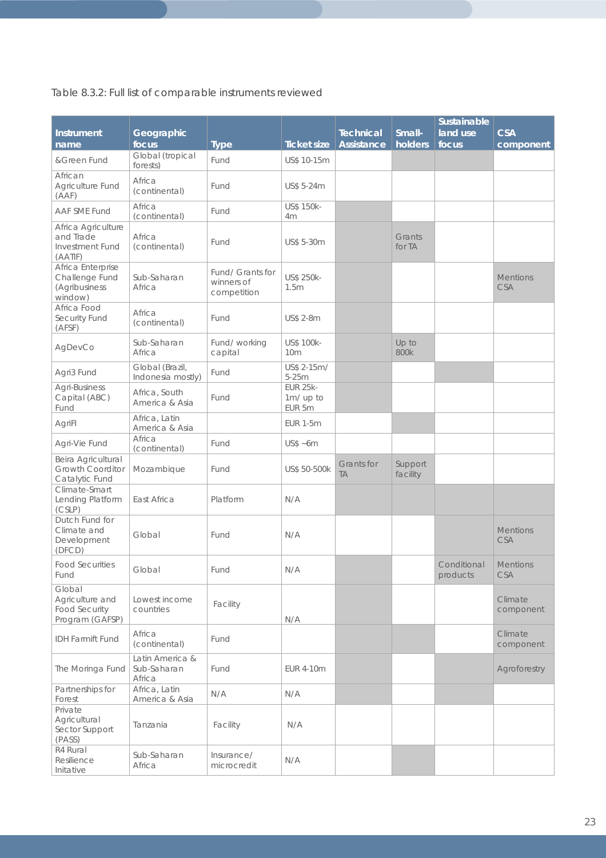# *Table 8.3.2: Full list of comparable instruments reviewed*

| <b>Instrument</b><br>name                                            | Geographic<br>focus                      | <b>Type</b>                                   | <b>Ticket size</b>                     | <b>Technical</b><br><b>Assistance</b> | Small-<br>holders   | <b>Sustainable</b><br>land use<br>focus | <b>CSA</b><br>component       |
|----------------------------------------------------------------------|------------------------------------------|-----------------------------------------------|----------------------------------------|---------------------------------------|---------------------|-----------------------------------------|-------------------------------|
| &Green Fund                                                          | Global (tropical<br>forests)             | Fund                                          | US\$ 10-15m                            |                                       |                     |                                         |                               |
| African<br>Agriculture Fund<br>(AAF)                                 | Africa<br>(continental)                  | Fund                                          | US\$ 5-24m                             |                                       |                     |                                         |                               |
| AAF SME Fund                                                         | Africa<br>(continental)                  | Fund                                          | US\$ 150k-<br>4m                       |                                       |                     |                                         |                               |
| Africa Agriculture<br>and Trade<br>Investment Fund<br>(AATIF)        | Africa<br>(continental)                  | Fund                                          | US\$ 5-30m                             |                                       | Grants<br>for TA    |                                         |                               |
| Africa Enterprise<br>Challenge Fund<br>(Agribusiness<br>window)      | Sub-Saharan<br>Africa                    | Fund/ Grants for<br>winners of<br>competition | US\$ 250k-<br>1.5m                     |                                       |                     |                                         | <b>Mentions</b><br><b>CSA</b> |
| Africa Food<br>Security Fund<br>(AFSF)                               | Africa<br>(continental)                  | Fund                                          | <b>US\$ 2-8m</b>                       |                                       |                     |                                         |                               |
| AgDevCo                                                              | Sub-Saharan<br>Africa                    | Fund/working<br>capital                       | <b>US\$ 100k-</b><br>10 <sub>m</sub>   |                                       | Up to<br>800k       |                                         |                               |
| Agri3 Fund                                                           | Global (Brazil,<br>Indonesia mostly)     | Fund                                          | US\$ 2-15m/<br>$5-25m$                 |                                       |                     |                                         |                               |
| Agri-Business<br>Capital (ABC)<br>Fund                               | Africa, South<br>America & Asia          | Fund                                          | <b>EUR 25k-</b><br>1m/ up to<br>EUR 5m |                                       |                     |                                         |                               |
| AgriFl                                                               | Africa, Latin<br>America & Asia          |                                               | <b>EUR 1-5m</b>                        |                                       |                     |                                         |                               |
| Agri-Vie Fund                                                        | Africa<br>(continental)                  | Fund                                          | US\$ ~6m                               |                                       |                     |                                         |                               |
| Beira Agricultural<br><b>Growth Coorditor</b><br>Catalytic Fund      | Mozambique                               | Fund                                          | US\$ 50-500k                           | Grants for<br><b>TA</b>               | Support<br>facility |                                         |                               |
| Climate-Smart<br>Lending Platform<br>(CSLP)                          | East Africa                              | Platform                                      | N/A                                    |                                       |                     |                                         |                               |
| Dutch Fund for<br>Climate and<br>Development<br>(DFCD)               | Global                                   | Fund                                          | N/A                                    |                                       |                     |                                         | <b>Mentions</b><br><b>CSA</b> |
| <b>Food Securities</b><br>Fund                                       | Global                                   | Fund                                          | N/A                                    |                                       |                     | Conditional<br>products                 | <b>Mentions</b><br><b>CSA</b> |
| Global<br>Agriculture and<br><b>Food Security</b><br>Program (GAFSP) | Lowest income<br>countries               | Facility                                      | N/A                                    |                                       |                     |                                         | Climate<br>component          |
| <b>IDH Farmift Fund</b>                                              | Africa<br>(continental)                  | <b>Fund</b>                                   |                                        |                                       |                     |                                         | Climate<br>component          |
| The Moringa Fund                                                     | Latin America &<br>Sub-Saharan<br>Africa | Fund                                          | EUR 4-10m                              |                                       |                     |                                         | Agroforestry                  |
| Partnerships for<br>Forest                                           | Africa, Latin<br>America & Asia          | N/A                                           | N/A                                    |                                       |                     |                                         |                               |
| Private<br>Agricultural<br>Sector Support<br>(PASS)                  | Tanzania                                 | Facility                                      | N/A                                    |                                       |                     |                                         |                               |
| R4 Rural<br>Resilience<br>Initative                                  | Sub-Saharan<br>Africa                    | Insurance/<br>microcredit                     | N/A                                    |                                       |                     |                                         |                               |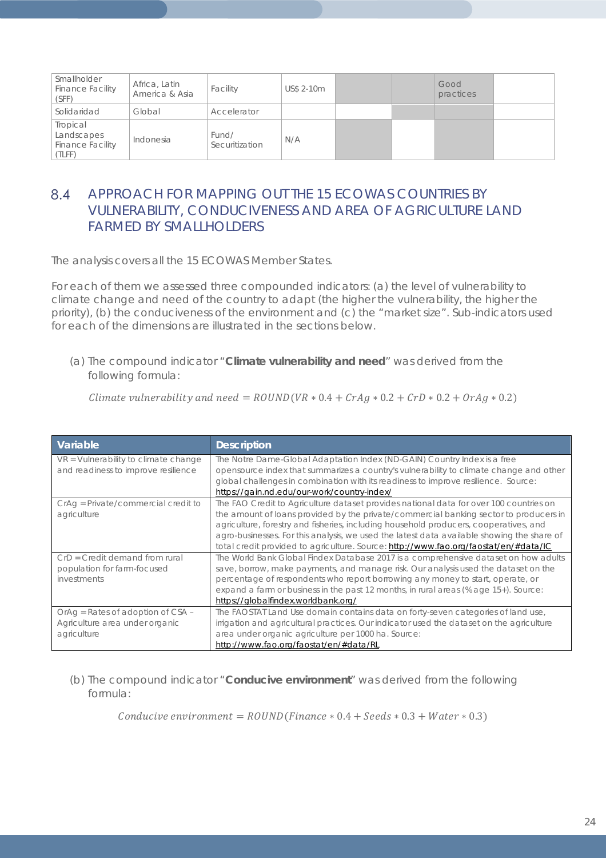| Smallholder<br><b>Finance Facility</b><br>(SFF)             | Africa, Latin<br>America & Asia | Facility                | US\$ 2-10m |  | Good<br>practices |  |
|-------------------------------------------------------------|---------------------------------|-------------------------|------------|--|-------------------|--|
| Solidaridad                                                 | Global                          | Accelerator             |            |  |                   |  |
| Tropical<br>Landscapes<br><b>Finance Facility</b><br>(TLFF) | Indonesia                       | Fund/<br>Securitization | N/A        |  |                   |  |

### 8.4 APPROACH FOR MAPPING OUT THE 15 ECOWAS COUNTRIES BY VULNERABILITY, CONDUCIVENESS AND AREA OF AGRICULTURE LAND FARMED BY SMALLHOLDERS

The analysis covers all the 15 ECOWAS Member States.

For each of them we assessed three compounded indicators: (a) the level of vulnerability to climate change and need of the country to adapt (the higher the vulnerability, the higher the priority), (b) the conduciveness of the environment and (c) the "market size". Sub-indicators used for each of the dimensions are illustrated in the sections below.

(a) The compound indicator "**Climate vulnerability and need**" was derived from the following formula:

Climate vulnerability and need =  $ROUND(VR * 0.4 + CrAg * 0.2 + CrD * 0.2 + OrAg * 0.2)$ 

| Variable                                                                           | <b>Description</b>                                                                                                                                                                                                                                                                                                                                                                                                                                             |
|------------------------------------------------------------------------------------|----------------------------------------------------------------------------------------------------------------------------------------------------------------------------------------------------------------------------------------------------------------------------------------------------------------------------------------------------------------------------------------------------------------------------------------------------------------|
| VR = Vulnerability to climate change<br>and readiness to improve resilience        | The Notre Dame-Global Adaptation Index (ND-GAIN) Country Index is a free<br>opensource index that summarizes a country's vulnerability to climate change and other<br>global challenges in combination with its readiness to improve resilience. Source:                                                                                                                                                                                                       |
|                                                                                    | https://gain.nd.edu/our-work/country-index/                                                                                                                                                                                                                                                                                                                                                                                                                    |
| CrAq = Private/commercial credit to<br>agriculture                                 | The FAO Credit to Agriculture dataset provides national data for over 100 countries on<br>the amount of loans provided by the private/commercial banking sector to producers in<br>agriculture, forestry and fisheries, including household producers, cooperatives, and<br>agro-businesses. For this analysis, we used the latest data available showing the share of<br>total credit provided to agriculture. Source: http://www.fao.org/faostat/en/#data/IC |
| $CrD = Credit$ demand from rural<br>population for farm-focused<br>investments     | The World Bank Global Findex Database 2017 is a comprehensive dataset on how adults<br>save, borrow, make payments, and manage risk. Our analysis used the dataset on the<br>percentage of respondents who report borrowing any money to start, operate, or<br>expand a farm or business in the past 12 months, in rural areas (% age 15+). Source:<br>https://globalfindex.worldbank.org/                                                                     |
| OrAg = Rates of adoption of CSA -<br>Agriculture area under organic<br>agriculture | The FAOSTAT Land Use domain contains data on forty-seven categories of land use,<br>irrigation and agricultural practices. Our indicator used the dataset on the agriculture<br>area under organic agriculture per 1000 ha. Source:<br>http://www.fao.org/faostat/en/#data/RL                                                                                                                                                                                  |

(b) The compound indicator "**Conducive environment**" was derived from the following formula:

 $Conductive$  environment =  $ROUND(Finance * 0.4 + Seeds * 0.3 + Water * 0.3)$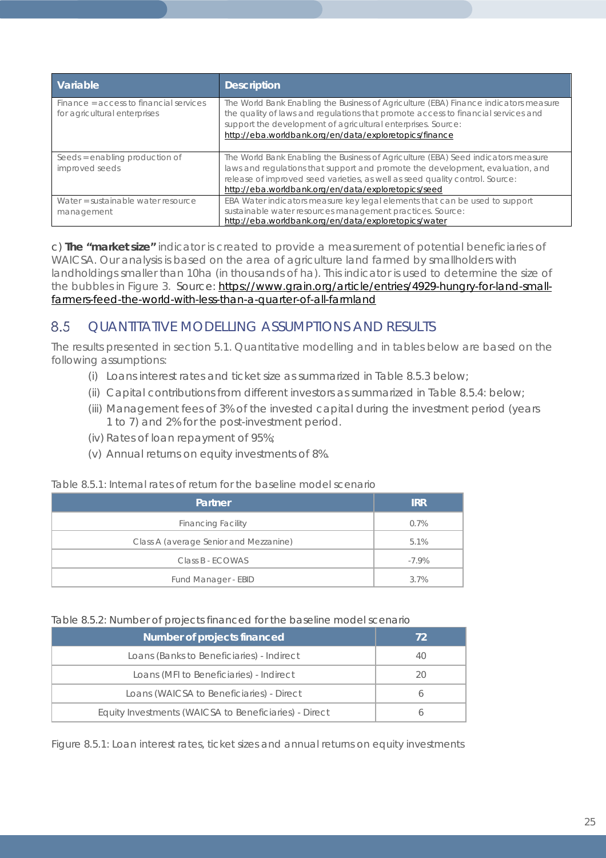| Variable                                                               | <b>Description</b>                                                                                                                                                                                                                                                                                         |
|------------------------------------------------------------------------|------------------------------------------------------------------------------------------------------------------------------------------------------------------------------------------------------------------------------------------------------------------------------------------------------------|
| Finance = access to financial services<br>for agricultural enterprises | The World Bank Enabling the Business of Agriculture (EBA) Finance indicators measure<br>the quality of laws and regulations that promote access to financial services and<br>support the development of agricultural enterprises. Source:<br>http://eba.worldbank.org/en/data/exploretopics/finance        |
| Seeds = enabling production of<br>improved seeds                       | The World Bank Enabling the Business of Agriculture (EBA) Seed indicators measure<br>laws and regulations that support and promote the development, evaluation, and<br>release of improved seed varieties, as well as seed quality control. Source:<br>http://eba.worldbank.org/en/data/exploretopics/seed |
| Water = sustainable water resource<br>management                       | EBA Water indicators measure key legal elements that can be used to support<br>sustainable water resources management practices. Source:<br>http://eba.worldbank.org/en/data/exploretopics/water                                                                                                           |

c) **The "market size"** indicator is created to provide a measurement of potential beneficiaries of WAICSA. Our analysis is based on the area of agriculture land farmed by smallholders with landholdings smaller than 10ha (in thousands of ha). This indicator is used to determine the size of the bubbles in Figure 3. Source: [https://www.grain.org/article/entries/4929-hungry-for-land-small](https://www.grain.org/article/entries/4929-hungry-for-land-small-farmers-feed-the-world-with-less-than-a-quarter-of-all-farmland)[farmers-feed-the-world-with-less-than-a-quarter-of-all-farmland](https://www.grain.org/article/entries/4929-hungry-for-land-small-farmers-feed-the-world-with-less-than-a-quarter-of-all-farmland)

#### 8.5 QUANTITATIVE MODELLING ASSUMPTIONS AND RESULTS

The results presented in section 5.1. Quantitative modelling and in tables below are based on the following assumptions:

- (i) Loans interest rates and ticket size as summarized in Table 8.5.3 below;
- (ii) Capital contributions from different investors as summarized in Table 8.5.4: below;
- (iii) Management fees of 3% of the invested capital during the investment period (years 1 to 7) and 2% for the post-investment period.
- (iv) Rates of loan repayment of 95%;
- (v) Annual returns on equity investments of 8%.

### *Table 8.5.1: Internal rates of return for the baseline model scenario*

| Partner                                | <b>IRR</b> |
|----------------------------------------|------------|
| <b>Financing Facility</b>              | 0.7%       |
| Class A (average Senior and Mezzanine) | 5.1%       |
| Class B - ECOWAS                       | $-7.9%$    |
| Fund Manager - EBID                    | 3.7%       |

### *Table 8.5.2: Number of projects financed for the baseline model scenario*

| Number of projects financed                           | 72 |
|-------------------------------------------------------|----|
| Loans (Banks to Beneficiaries) - Indirect             | 40 |
| Loans (MFI to Beneficiaries) - Indirect               | 20 |
| Loans (WAICSA to Beneficiaries) - Direct              |    |
| Equity Investments (WAICSA to Beneficiaries) - Direct |    |

*Figure 8.5.1: Loan interest rates, ticket sizes and annual returns on equity investments*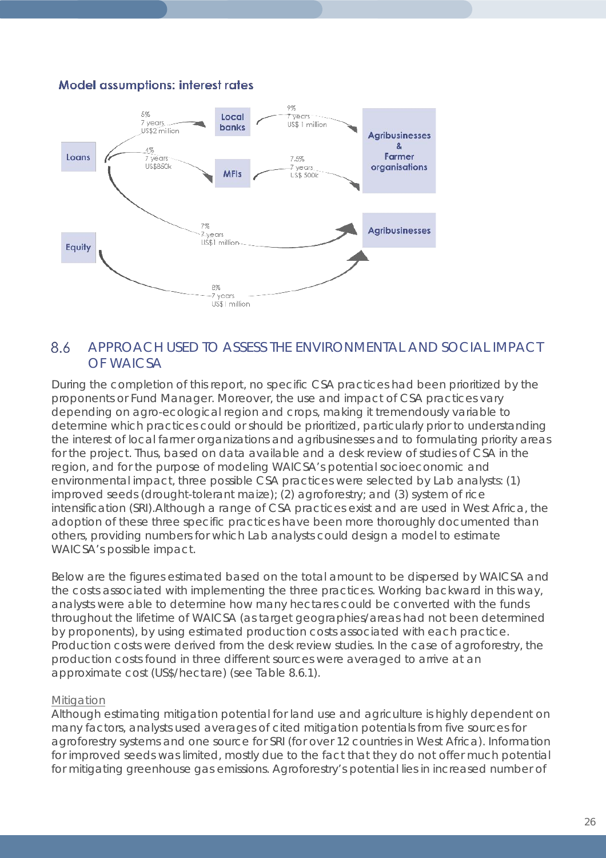# **Model assumptions: interest rates**



#### 8.6 APPROACH USED TO ASSESS THE ENVIRONMENTAL AND SOCIAL IMPACT OF WAICSA

During the completion of this report, no specific CSA practices had been prioritized by the proponents or Fund Manager. Moreover, the use and impact of CSA practices vary depending on agro-ecological region and crops, making it tremendously variable to determine which practices could or should be prioritized, particularly prior to understanding the interest of local farmer organizations and agribusinesses and to formulating priority areas for the project. Thus, based on data available and a desk review of studies of CSA in the region, and for the purpose of modeling WAICSA's potential socioeconomic and environmental impact, three possible CSA practices were selected by Lab analysts: (1) improved seeds (drought-tolerant maize); (2) agroforestry; and (3) system of rice intensification (SRI).Although a range of CSA practices exist and are used in West Africa, the adoption of these three specific practices have been more thoroughly documented than others, providing numbers for which Lab analysts could design a model to estimate WAICSA's possible impact.

Below are the figures estimated based on the total amount to be dispersed by WAICSA and the costs associated with implementing the three practices. Working backward in this way, analysts were able to determine how many hectares could be converted with the funds throughout the lifetime of WAICSA (as target geographies/areas had not been determined by proponents), by using estimated production costs associated with each practice. Production costs were derived from the desk review studies. In the case of agroforestry, the production costs found in three different sources were averaged to arrive at an approximate cost (US\$/hectare) (see Table 8.6.1).

### **Mitigation**

Although estimating mitigation potential for land use and agriculture is highly dependent on many factors, analysts used averages of cited mitigation potentials from five sources for agroforestry systems and one source for SRI (for over 12 countries in West Africa). Information for improved seeds was limited, mostly due to the fact that they do not offer much potential for mitigating greenhouse gas emissions. Agroforestry's potential lies in increased number of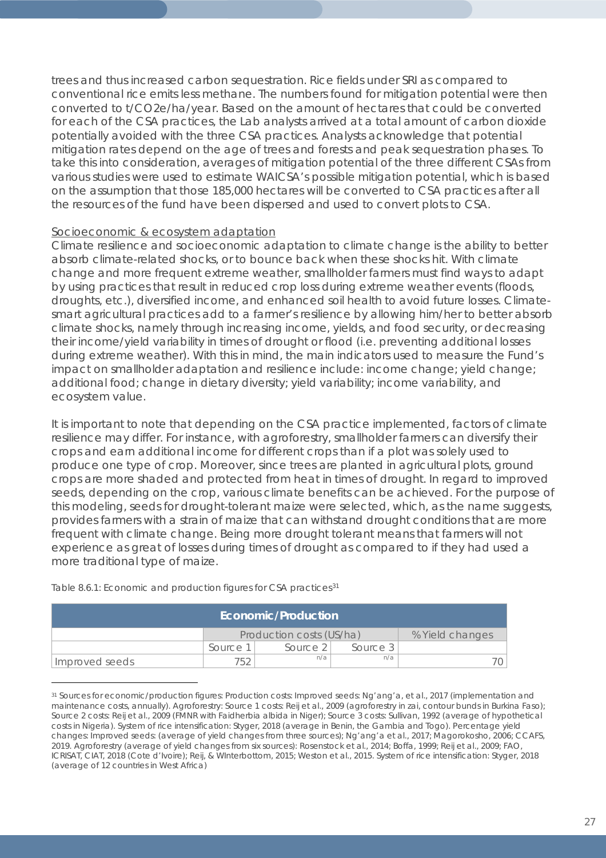trees and thus increased carbon sequestration. Rice fields under SRI as compared to conventional rice emits less methane. The numbers found for mitigation potential were then converted to t/CO2e/ha/year. Based on the amount of hectares that could be converted for each of the CSA practices, the Lab analysts arrived at a total amount of carbon dioxide potentially avoided with the three CSA practices. Analysts acknowledge that potential mitigation rates depend on the age of trees and forests and peak sequestration phases. To take this into consideration, averages of mitigation potential of the three different CSAs from various studies were used to estimate WAICSA's possible mitigation potential, which is based on the assumption that those 185,000 hectares will be converted to CSA practices after all the resources of the fund have been dispersed and used to convert plots to CSA.

### Socioeconomic & ecosystem adaptation

Climate resilience and socioeconomic adaptation to climate change is the ability to better absorb climate-related shocks, or to bounce back when these shocks hit. With climate change and more frequent extreme weather, smallholder farmers must find ways to adapt by using practices that result in reduced crop loss during extreme weather events (floods, droughts, etc.), diversified income, and enhanced soil health to avoid future losses. Climatesmart agricultural practices add to a farmer's resilience by allowing him/her to better absorb climate shocks, namely through increasing income, yields, and food security, or decreasing their income/yield variability in times of drought or flood (i.e. preventing additional losses during extreme weather). With this in mind, the main indicators used to measure the Fund's impact on smallholder adaptation and resilience include: income change; yield change; additional food; change in dietary diversity; yield variability; income variability, and ecosystem value.

It is important to note that depending on the CSA practice implemented, factors of climate resilience may differ. For instance, with agroforestry, smallholder farmers can diversify their crops and earn additional income for different crops than if a plot was solely used to produce one type of crop. Moreover, since trees are planted in agricultural plots, ground crops are more shaded and protected from heat in times of drought. In regard to improved seeds, depending on the crop, various climate benefits can be achieved. For the purpose of this modeling, seeds for drought-tolerant maize were selected, which, as the name suggests, provides farmers with a strain of maize that can withstand drought conditions that are more frequent with climate change. Being more drought tolerant means that farmers will not experience as great of losses during times of drought as compared to if they had used a more traditional type of maize.

| Economic/Production |          |                          |                 |  |  |  |  |  |
|---------------------|----------|--------------------------|-----------------|--|--|--|--|--|
|                     |          | Production costs (US/ha) | % Yield changes |  |  |  |  |  |
|                     | Source 1 | Source 2                 | Source 3        |  |  |  |  |  |
| Improved seeds      |          | n/a                      |                 |  |  |  |  |  |

*Table 8.6.1: Economic and production figures for CSA practices[31](#page-26-0)*

 $\overline{a}$ 

<span id="page-26-0"></span><sup>31</sup> Sources for economic/production figures: *Production costs:* Improved seeds: Ng'ang'a, et al., 2017 (implementation and maintenance costs, annually). Agroforestry: Source 1 costs: Reij et al., 2009 (agroforestry in zai, contour bunds in Burkina Faso); Source 2 costs: Reij et al., 2009 (FMNR with Faidherbia albida in Niger); Source 3 costs: Sullivan, 1992 (average of hypothetical costs in Nigeria). System of rice intensification: Styger, 2018 (average in Benin, the Gambia and Togo). *Percentage yield changes:* Improved seeds: (average of yield changes from three sources); Ng'ang'a et al., 2017; Magorokosho, 2006; CCAFS, 2019. Agroforestry (average of yield changes from six sources): Rosenstock et al., 2014; Boffa, 1999; Reij et al., 2009; FAO, ICRISAT, CIAT, 2018 (Cote d'Ivoire); Reij, & WInterbottom, 2015; Weston et al., 2015. System of rice intensification: Styger, 2018 (average of 12 countries in West Africa)